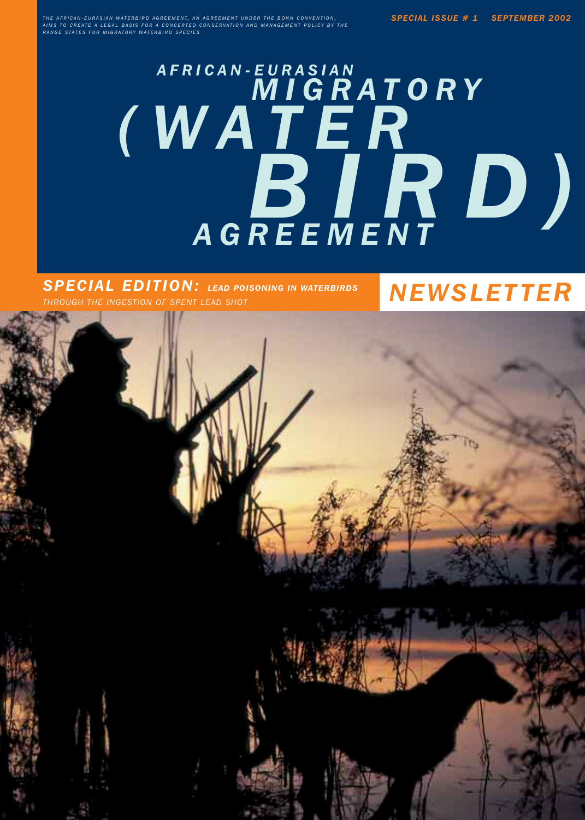*THE AFRICAN-EURASIAN WATERBIRD AGREEMENT, AN AGREEMENT UNDER THE BONN CONVENTION, AIMS TO CREATE A LEGAL BASIS FOR A CONCERTED CONSERVATION AND MANAGEMENT POLICY BY THE RANGE STATES FOR MIGRATORY WATERBIRD SPECIES*

# *AFRICAN-EURASIAN MIGRATORY (WATER BIRD) AGREEMENT*

*NEWSLETTER SPECIAL EDITION: LEAD POISONING IN WATERBIRDS THROUGH THE INGESTION OF SPENT LEAD SHOT*

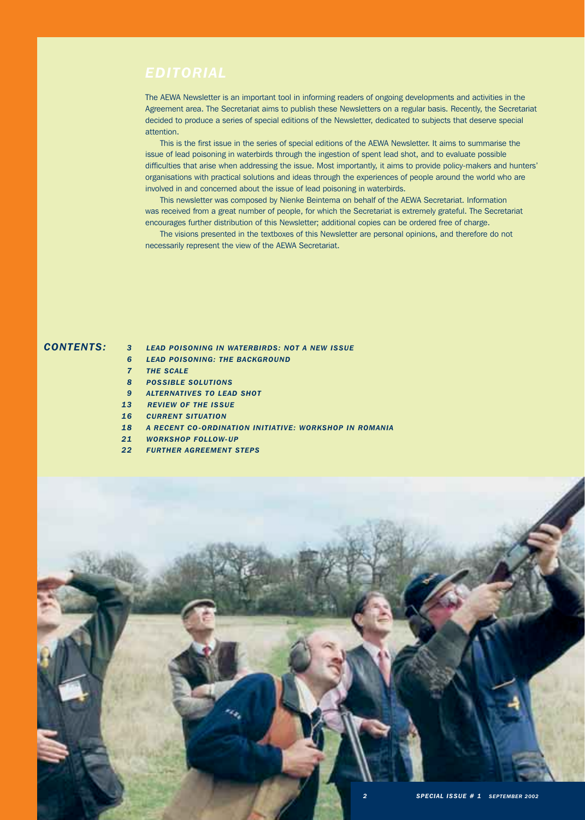The AEWA Newsletter is an important tool in informing readers of ongoing developments and activities in the Agreement area. The Secretariat aims to publish these Newsletters on a regular basis. Recently, the Secretariat decided to produce a series of special editions of the Newsletter, dedicated to subjects that deserve special attention.

This is the first issue in the series of special editions of the AEWA Newsletter. It aims to summarise the issue of lead poisoning in waterbirds through the ingestion of spent lead shot, and to evaluate possible difficulties that arise when addressing the issue. Most importantly, it aims to provide policy-makers and hunters' organisations with practical solutions and ideas through the experiences of people around the world who are involved in and concerned about the issue of lead poisoning in waterbirds.

This newsletter was composed by Nienke Beintema on behalf of the AEWA Secretariat. Information was received from a great number of people, for which the Secretariat is extremely grateful. The Secretariat encourages further distribution of this Newsletter; additional copies can be ordered free of charge.

The visions presented in the textboxes of this Newsletter are personal opinions, and therefore do not necessarily represent the view of the AEWA Secretariat.

- *CONTENTS: LEAD POISONING IN WATERBIRDS: NOT A NEW ISSUE 3*
	- *LEAD POISONING: THE BACKGROUND 6*
	- **THE SCALE** *7*
	- *POSSIBLE SOLUTIONS 8*
	- *ALTERNATIVES TO LEAD SHOT 9*
	- *REVIEW OF THE ISSUE 13*
	- 16 CURRENT SITUATION
	- *A RECENT CO-ORDINATION INITIATIVE: WORKSHOP IN ROMANIA 18*
	- *WORKSHOP FOLLOW-UP 21*
	- *FURTHER AGREEMENT STEPS 22*

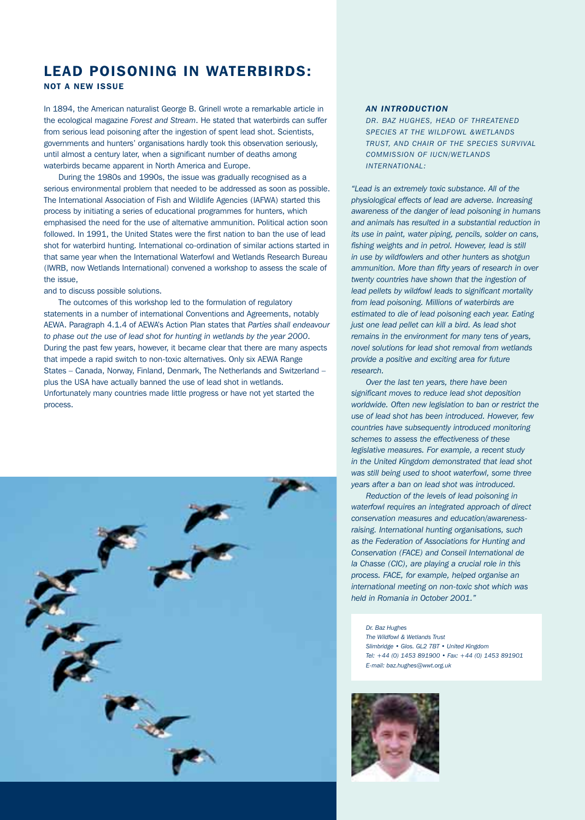# LEAD POISONING IN WATERBIRDS: NOT A NEW ISSUE

In 1894, the American naturalist George B. Grinell wrote a remarkable article in the ecological magazine *Forest and Stream*. He stated that waterbirds can suffer from serious lead poisoning after the ingestion of spent lead shot. Scientists, governments and hunters' organisations hardly took this observation seriously, until almost a century later, when a significant number of deaths among waterbirds became apparent in North America and Europe.

During the 1980s and 1990s, the issue was gradually recognised as a serious environmental problem that needed to be addressed as soon as possible. The International Association of Fish and Wildlife Agencies (IAFWA) started this process by initiating a series of educational programmes for hunters, which emphasised the need for the use of alternative ammunition. Political action soon followed. In 1991, the United States were the first nation to ban the use of lead shot for waterbird hunting. International co-ordination of similar actions started in that same year when the International Waterfowl and Wetlands Research Bureau (IWRB, now Wetlands International) convened a workshop to assess the scale of the issue,

# and to discuss possible solutions.

The outcomes of this workshop led to the formulation of regulatory statements in a number of international Conventions and Agreements, notably AEWA. Paragraph 4.1.4 of AEWA's Action Plan states that *Parties shall endeavour to phase out the use of lead shot for hunting in wetlands by the year 2000*. During the past few years, however, it became clear that there are many aspects that impede a rapid switch to non-toxic alternatives. Only six AEWA Range States – Canada, Norway, Finland, Denmark, The Netherlands and Switzerland – plus the USA have actually banned the use of lead shot in wetlands. Unfortunately many countries made little progress or have not yet started the process.



# *AN INTRODUCTION*

*DR. BAZ HUGHES, HEAD OF THREATENED SPECIES AT THE WILDFOWL &WETLANDS TRUST, AND CHAIR OF THE SPECIES SURVIVAL COMMISSION OF IUCN/WETLANDS INTERNATIONAL:* 

*"Lead is an extremely toxic substance. All of the physiological effects of lead are adverse. Increasing awareness of the danger of lead poisoning in humans and animals has resulted in a substantial reduction in its use in paint, water piping, pencils, solder on cans, fishing weights and in petrol. However, lead is still in use by wildfowlers and other hunters as shotgun ammunition. More than fifty years of research in over twenty countries have shown that the ingestion of lead pellets by wildfowl leads to significant mortality from lead poisoning. Millions of waterbirds are estimated to die of lead poisoning each year. Eating just one lead pellet can kill a bird. As lead shot remains in the environment for many tens of years, novel solutions for lead shot removal from wetlands provide a positive and exciting area for future research.*

*Over the last ten years, there have been significant moves to reduce lead shot deposition worldwide. Often new legislation to ban or restrict the use of lead shot has been introduced. However, few countries have subsequently introduced monitoring schemes to assess the effectiveness of these legislative measures. For example, a recent study in the United Kingdom demonstrated that lead shot was still being used to shoot waterfowl, some three years after a ban on lead shot was introduced.* 

*Reduction of the levels of lead poisoning in waterfowl requires an integrated approach of direct conservation measures and education/awarenessraising. International hunting organisations, such as the Federation of Associations for Hunting and Conservation (FACE) and Conseil International de la Chasse (CIC), are playing a crucial role in this process. FACE, for example, helped organise an international meeting on non-toxic shot which was held in Romania in October 2001."*

*Dr. Baz Hughes The Wildfowl & Wetlands Trust Slimbridge • Glos. GL2 7BT • United Kingdom Tel: +44 (0) 1453 891900 • Fax: +44 (0) 1453 891901 E-mail: baz.hughes@wwt.org.uk*

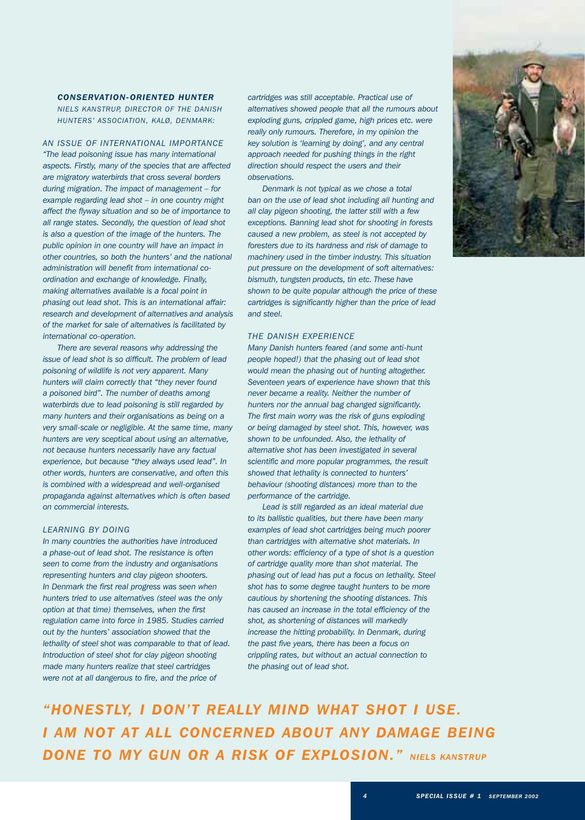# *CONSERVATION-ORIENTED HUNTER NIELS KANSTRUP, DIRECTOR OF THE DANISH HUNTERS' ASSOCIATION, KALØ, DENMARK:*

# *AN ISSUE OF INTERNATIONAL IMPORTANCE*

*"The lead poisoning issue has many international aspects. Firstly, many of the species that are affected are migratory waterbirds that cross several borders during migration. The impact of management – for example regarding lead shot – in one country might affect the flyway situation and so be of importance to all range states. Secondly, the question of lead shot is also a question of the image of the hunters. The public opinion in one country will have an impact in other countries, so both the hunters' and the national administration will benefit from international coordination and exchange of knowledge. Finally, making alternatives available is a focal point in phasing out lead shot. This is an international affair: research and development of alternatives and analysis of the market for sale of alternatives is facilitated by international co-operation.*

*There are several reasons why addressing the issue of lead shot is so difficult. The problem of lead poisoning of wildlife is not very apparent. Many hunters will claim correctly that "they never found a poisoned bird". The number of deaths among waterbirds due to lead poisoning is still regarded by many hunters and their organisations as being on a very small-scale or negligible. At the same time, many hunters are very sceptical about using an alternative, not because hunters necessarily have any factual experience, but because "they always used lead". In other words, hunters are conservative, and often this is combined with a widespread and well-organised propaganda against alternatives which is often based on commercial interests.*

# *LEARNING BY DOING*

*In many countries the authorities have introduced a phase-out of lead shot. The resistance is often seen to come from the industry and organisations representing hunters and clay pigeon shooters. In Denmark the first real progress was seen when hunters tried to use alternatives (steel was the only option at that time) themselves, when the first regulation came into force in 1985. Studies carried out by the hunters' association showed that the lethality of steel shot was comparable to that of lead. Introduction of steel shot for clay pigeon shooting made many hunters realize that steel cartridges were not at all dangerous to fire, and the price of*

*cartridges was still acceptable. Practical use of alternatives showed people that all the rumours about exploding guns, crippled game, high prices etc. were really only rumours. Therefore, in my opinion the key solution is 'learning by doing', and any central approach needed for pushing things in the right direction should respect the users and their observations.*

*Denmark is not typical as we chose a total ban on the use of lead shot including all hunting and all clay pigeon shooting, the latter still with a few exceptions. Banning lead shot for shooting in forests caused a new problem, as steel is not accepted by foresters due to its hardness and risk of damage to machinery used in the timber industry. This situation put pressure on the development of soft alternatives: bismuth, tungsten products, tin etc. These have shown to be quite popular although the price of these cartridges is significantly higher than the price of lead and steel.*

# *THE DANISH EXPERIENCE*

*Many Danish hunters feared (and some anti-hunt people hoped!) that the phasing out of lead shot would mean the phasing out of hunting altogether. Seventeen years of experience have shown that this never became a reality. Neither the number of hunters nor the annual bag changed significantly. The first main worry was the risk of guns exploding or being damaged by steel shot. This, however, was shown to be unfounded. Also, the lethality of alternative shot has been investigated in several scientific and more popular programmes, the result showed that lethality is connected to hunters' behaviour (shooting distances) more than to the performance of the cartridge.*

*Lead is still regarded as an ideal material due to its ballistic qualities, but there have been many examples of lead shot cartridges being much poorer than cartridges with alternative shot materials. In other words: efficiency of a type of shot is a question of cartridge quality more than shot material. The phasing out of lead has put a focus on lethality. Steel shot has to some degree taught hunters to be more cautious by shortening the shooting distances. This has caused an increase in the total efficiency of the shot, as shortening of distances will markedly increase the hitting probability. In Denmark, during the past five years, there has been a focus on crippling rates, but without an actual connection to the phasing out of lead shot.*

*"HONESTLY, I DON'T REALLY MIND WHAT SHOT I USE. I AM NOT AT ALL CONCERNED ABOUT ANY DAMAGE BEING DONE TO MY GUN OR A RISK OF EXPLOSION." NIELS KANSTRUP*

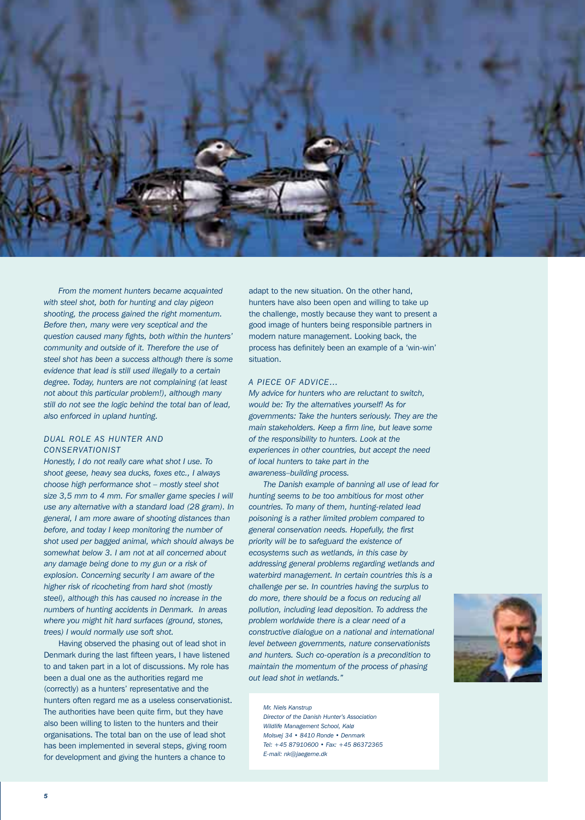

*From the moment hunters became acquainted with steel shot, both for hunting and clay pigeon shooting, the process gained the right momentum. Before then, many were very sceptical and the question caused many fights, both within the hunters' community and outside of it. Therefore the use of steel shot has been a success although there is some evidence that lead is still used illegally to a certain degree. Today, hunters are not complaining (at least not about this particular problem!), although many still do not see the logic behind the total ban of lead, also enforced in upland hunting.*

# *DUAL ROLE AS HUNTER AND CONSERVATIONIST*

*Honestly, I do not really care what shot I use. To shoot geese, heavy sea ducks, foxes etc., I always choose high performance shot – mostly steel shot size 3,5 mm to 4 mm. For smaller game species I will use any alternative with a standard load (28 gram). In general, I am more aware of shooting distances than before, and today I keep monitoring the number of shot used per bagged animal, which should always be somewhat below 3. I am not at all concerned about any damage being done to my gun or a risk of explosion. Concerning security I am aware of the higher risk of ricocheting from hard shot (mostly steel), although this has caused no increase in the numbers of hunting accidents in Denmark. In areas where you might hit hard surfaces (ground, stones, trees) I would normally use soft shot.*

Having observed the phasing out of lead shot in Denmark during the last fifteen years, I have listened to and taken part in a lot of discussions. My role has been a dual one as the authorities regard me (correctly) as a hunters' representative and the hunters often regard me as a useless conservationist. The authorities have been quite firm, but they have also been willing to listen to the hunters and their organisations. The total ban on the use of lead shot has been implemented in several steps, giving room for development and giving the hunters a chance to

adapt to the new situation. On the other hand, hunters have also been open and willing to take up the challenge, mostly because they want to present a good image of hunters being responsible partners in modern nature management. Looking back, the process has definitely been an example of a 'win-win' situation.

# *A PIECE OF ADVICE…*

*My advice for hunters who are reluctant to switch, would be: Try the alternatives yourself! As for governments: Take the hunters seriously. They are the main stakeholders. Keep a firm line, but leave some of the responsibility to hunters. Look at the experiences in other countries, but accept the need of local hunters to take part in the awareness–building process.*

*The Danish example of banning all use of lead for hunting seems to be too ambitious for most other countries. To many of them, hunting-related lead poisoning is a rather limited problem compared to general conservation needs. Hopefully, the first priority will be to safeguard the existence of ecosystems such as wetlands, in this case by addressing general problems regarding wetlands and waterbird management. In certain countries this is a challenge per se. In countries having the surplus to do more, there should be a focus on reducing all pollution, including lead deposition. To address the problem worldwide there is a clear need of a constructive dialogue on a national and international level between governments, nature conservationists and hunters. Such co-operation is a precondition to maintain the momentum of the process of phasing out lead shot in wetlands."* 



*Mr. Niels Kanstrup*

*Director of the Danish Hunter's Association Wildlife Management School, Kalø Molsvej 34 • 8410 Ronde • Denmark Tel: +45 87910600 • Fax: +45 86372365 E-mail: nk@jaegerne.dk*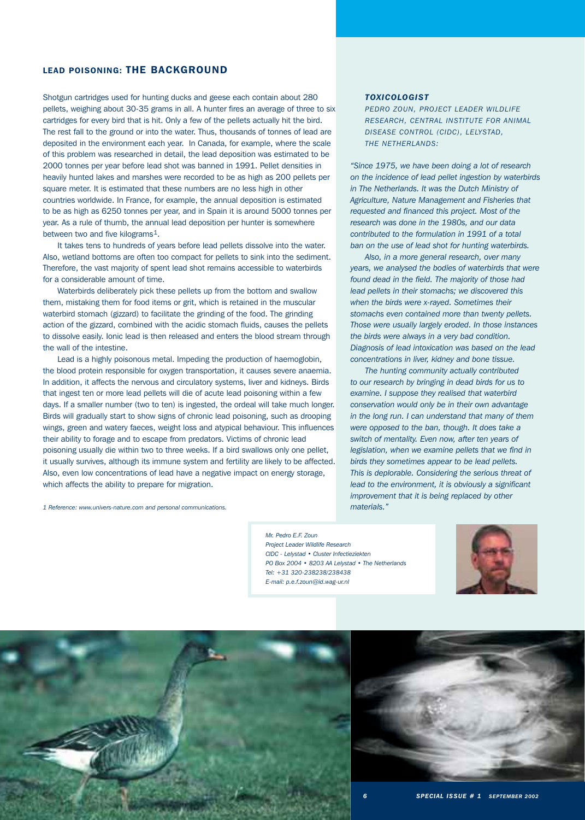# LEAD POISONING: THE BACKGROUND

Shotgun cartridges used for hunting ducks and geese each contain about 280 pellets, weighing about 30-35 grams in all. A hunter fires an average of three to six cartridges for every bird that is hit. Only a few of the pellets actually hit the bird. The rest fall to the ground or into the water. Thus, thousands of tonnes of lead are deposited in the environment each year. In Canada, for example, where the scale of this problem was researched in detail, the lead deposition was estimated to be 2000 tonnes per year before lead shot was banned in 1991. Pellet densities in heavily hunted lakes and marshes were recorded to be as high as 200 pellets per square meter. It is estimated that these numbers are no less high in other countries worldwide. In France, for example, the annual deposition is estimated to be as high as 6250 tonnes per year, and in Spain it is around 5000 tonnes per year. As a rule of thumb, the annual lead deposition per hunter is somewhere between two and five kilograms<sup>1</sup>.

It takes tens to hundreds of years before lead pellets dissolve into the water. Also, wetland bottoms are often too compact for pellets to sink into the sediment. Therefore, the vast majority of spent lead shot remains accessible to waterbirds for a considerable amount of time.

Waterbirds deliberately pick these pellets up from the bottom and swallow them, mistaking them for food items or grit, which is retained in the muscular waterbird stomach (gizzard) to facilitate the grinding of the food. The grinding action of the gizzard, combined with the acidic stomach fluids, causes the pellets to dissolve easily. Ionic lead is then released and enters the blood stream through the wall of the intestine.

Lead is a highly poisonous metal. Impeding the production of haemoglobin, the blood protein responsible for oxygen transportation, it causes severe anaemia. In addition, it affects the nervous and circulatory systems, liver and kidneys. Birds that ingest ten or more lead pellets will die of acute lead poisoning within a few days. If a smaller number (two to ten) is ingested, the ordeal will take much longer. Birds will gradually start to show signs of chronic lead poisoning, such as drooping wings, green and watery faeces, weight loss and atypical behaviour. This influences their ability to forage and to escape from predators. Victims of chronic lead poisoning usually die within two to three weeks. If a bird swallows only one pellet, it usually survives, although its immune system and fertility are likely to be affected. Also, even low concentrations of lead have a negative impact on energy storage, which affects the ability to prepare for migration.

*1 Reference: www.univers-nature.com and personal communications.*

*TOXICOLOGIST*

*PEDRO ZOUN, PROJECT LEADER WILDLIFE RESEARCH, CENTRAL INSTITUTE FOR ANIMAL DISEASE CONTROL (CIDC), LELYSTAD, THE NETHERLANDS:*

*"Since 1975, we have been doing a lot of research on the incidence of lead pellet ingestion by waterbirds in The Netherlands. It was the Dutch Ministry of Agriculture, Nature Management and Fisheries that requested and financed this project. Most of the research was done in the 1980s, and our data contributed to the formulation in 1991 of a total ban on the use of lead shot for hunting waterbirds.*

*Also, in a more general research, over many years, we analysed the bodies of waterbirds that were found dead in the field. The majority of those had lead pellets in their stomachs; we discovered this when the birds were x-rayed. Sometimes their stomachs even contained more than twenty pellets. Those were usually largely eroded. In those instances the birds were always in a very bad condition. Diagnosis of lead intoxication was based on the lead concentrations in liver, kidney and bone tissue.*

*The hunting community actually contributed to our research by bringing in dead birds for us to examine. I suppose they realised that waterbird conservation would only be in their own advantage in the long run. I can understand that many of them were opposed to the ban, though. It does take a switch of mentality. Even now, after ten years of legislation, when we examine pellets that we find in birds they sometimes appear to be lead pellets. This is deplorable. Considering the serious threat of lead to the environment, it is obviously a significant improvement that it is being replaced by other materials."*

*Mr. Pedro E.F. Zoun Project Leader Wildlife Research CIDC - Lelystad • Cluster Infectieziekten PO Box 2004 • 8203 AA Lelystad • The Netherlands Tel: +31 320-238238/238438 E-mail: p.e.f.zoun@id.wag-ur.nl*





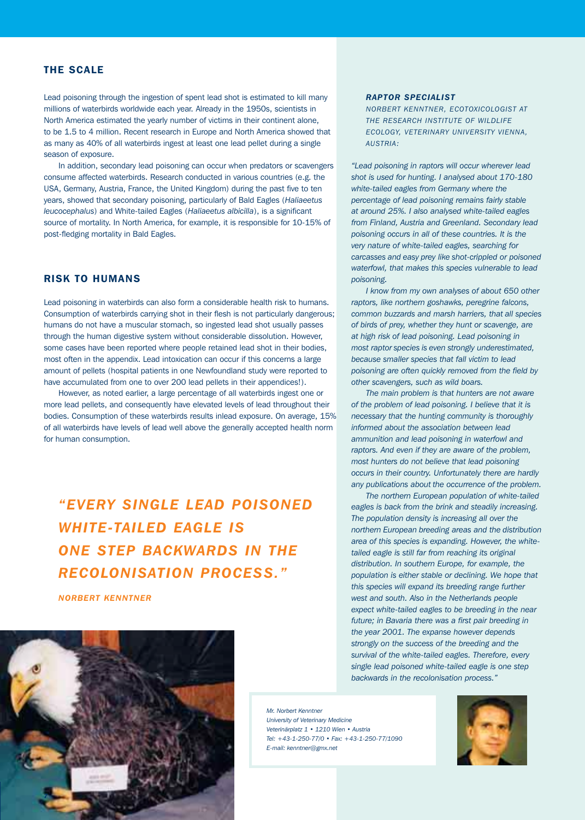# THE SCALE

Lead poisoning through the ingestion of spent lead shot is estimated to kill many millions of waterbirds worldwide each year. Already in the 1950s, scientists in North America estimated the yearly number of victims in their continent alone, to be 1.5 to 4 million. Recent research in Europe and North America showed that as many as 40% of all waterbirds ingest at least one lead pellet during a single season of exposure.

In addition, secondary lead poisoning can occur when predators or scavengers consume affected waterbirds. Research conducted in various countries (e.g. the USA, Germany, Austria, France, the United Kingdom) during the past five to ten years, showed that secondary poisoning, particularly of Bald Eagles (*Haliaeetus leucocephalus*) and White-tailed Eagles (*Haliaeetus albicilla*), is a significant source of mortality. In North America, for example, it is responsible for 10-15% of post-fledging mortality in Bald Eagles.

# RISK TO HUMANS

Lead poisoning in waterbirds can also form a considerable health risk to humans. Consumption of waterbirds carrying shot in their flesh is not particularly dangerous; humans do not have a muscular stomach, so ingested lead shot usually passes through the human digestive system without considerable dissolution. However, some cases have been reported where people retained lead shot in their bodies, most often in the appendix. Lead intoxication can occur if this concerns a large amount of pellets (hospital patients in one Newfoundland study were reported to have accumulated from one to over 200 lead pellets in their appendices!).

However, as noted earlier, a large percentage of all waterbirds ingest one or more lead pellets, and consequently have elevated levels of lead throughout their bodies. Consumption of these waterbirds results inlead exposure. On average, 15% of all waterbirds have levels of lead well above the generally accepted health norm for human consumption.

*"EVERY SINGLE LEAD POISONED WHITE-TAILED EAGLE IS ONE STEP BACKWARDS IN THE RECOLONISATION PROCESS."*

*NORBERT KENNTNER*



# *RAPTOR SPECIALIST*

*NORBERT KENNTNER, ECOTOXICOLOGIST AT THE RESEARCH INSTITUTE OF WILDLIFE ECOLOGY, VETERINARY UNIVERSITY VIENNA, AUSTRIA:* 

*"Lead poisoning in raptors will occur wherever lead shot is used for hunting. I analysed about 170-180 white-tailed eagles from Germany where the percentage of lead poisoning remains fairly stable at around 25%. I also analysed white-tailed eagles from Finland, Austria and Greenland. Secondary lead poisoning occurs in all of these countries. It is the very nature of white-tailed eagles, searching for carcasses and easy prey like shot-crippled or poisoned waterfowl, that makes this species vulnerable to lead poisoning.*

*I know from my own analyses of about 650 other raptors, like northern goshawks, peregrine falcons, common buzzards and marsh harriers, that all species of birds of prey, whether they hunt or scavenge, are at high risk of lead poisoning. Lead poisoning in most raptor species is even strongly underestimated, because smaller species that fall victim to lead poisoning are often quickly removed from the field by other scavengers, such as wild boars.*

*The main problem is that hunters are not aware of the problem of lead poisoning. I believe that it is necessary that the hunting community is thoroughly informed about the association between lead ammunition and lead poisoning in waterfowl and raptors. And even if they are aware of the problem, most hunters do not believe that lead poisoning occurs in their country. Unfortunately there are hardly any publications about the occurrence of the problem.*

*The northern European population of white-tailed eagles is back from the brink and steadily increasing. The population density is increasing all over the northern European breeding areas and the distribution area of this species is expanding. However, the whitetailed eagle is still far from reaching its original distribution. In southern Europe, for example, the population is either stable or declining. We hope that this species will expand its breeding range further west and south. Also in the Netherlands people expect white-tailed eagles to be breeding in the near future; in Bavaria there was a first pair breeding in the year 2001. The expanse however depends strongly on the success of the breeding and the survival of the white-tailed eagles. Therefore, every single lead poisoned white-tailed eagle is one step backwards in the recolonisation process."*

*Mr. Norbert Kenntne University of Veterinary Medicine Veterinärplatz 1 • 1210 Wien • Austria Tel: +43-1-250-77/0 • Fax: +43-1-250-77/1090 E-mail: kenntner@gmx.net*

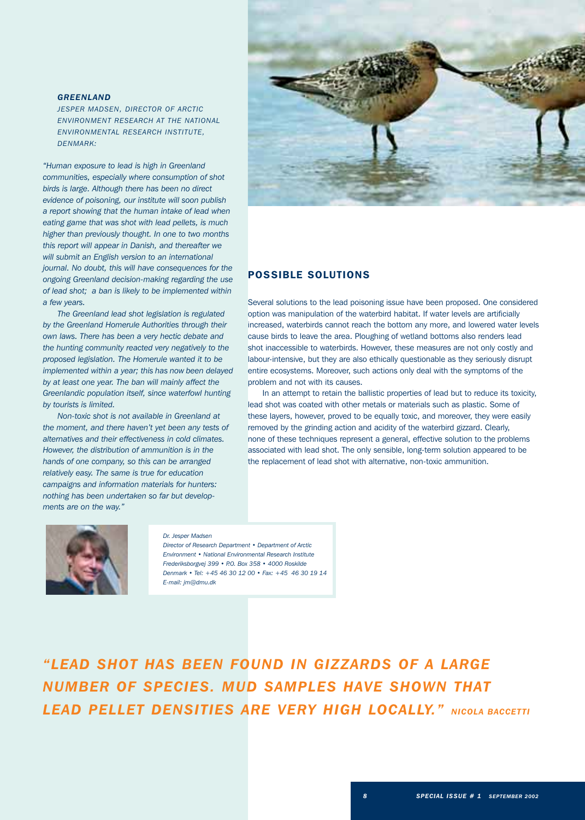# *GREENLAND*

*JESPER MADSEN, DIRECTOR OF ARCTIC ENVIRONMENT RESEARCH AT THE NATIONAL ENVIRONMENTAL RESEARCH INSTITUTE, DENMARK:*

*"Human exposure to lead is high in Greenland communities, especially where consumption of shot birds is large. Although there has been no direct evidence of poisoning, our institute will soon publish a report showing that the human intake of lead when eating game that was shot with lead pellets, is much higher than previously thought. In one to two months this report will appear in Danish, and thereafter we will submit an English version to an international journal. No doubt, this will have consequences for the ongoing Greenland decision-making regarding the use of lead shot; a ban is likely to be implemented within a few years.* 

*The Greenland lead shot legislation is regulated by the Greenland Homerule Authorities through their own laws. There has been a very hectic debate and the hunting community reacted very negatively to the proposed legislation. The Homerule wanted it to be implemented within a year; this has now been delayed by at least one year. The ban will mainly affect the Greenlandic population itself, since waterfowl hunting by tourists is limited.*

*Non-toxic shot is not available in Greenland at the moment, and there haven't yet been any tests of alternatives and their effectiveness in cold climates. However, the distribution of ammunition is in the hands of one company, so this can be arranged relatively easy. The same is true for education campaigns and information materials for hunters: nothing has been undertaken so far but developments are on the way."*



# POSSIBLE SOLUTIONS

Several solutions to the lead poisoning issue have been proposed. One considered option was manipulation of the waterbird habitat. If water levels are artificially increased, waterbirds cannot reach the bottom any more, and lowered water levels cause birds to leave the area. Ploughing of wetland bottoms also renders lead shot inaccessible to waterbirds. However, these measures are not only costly and labour-intensive, but they are also ethically questionable as they seriously disrupt entire ecosystems. Moreover, such actions only deal with the symptoms of the problem and not with its causes.

In an attempt to retain the ballistic properties of lead but to reduce its toxicity, lead shot was coated with other metals or materials such as plastic. Some of these layers, however, proved to be equally toxic, and moreover, they were easily removed by the grinding action and acidity of the waterbird gizzard. Clearly, none of these techniques represent a general, effective solution to the problems associated with lead shot. The only sensible, long-term solution appeared to be the replacement of lead shot with alternative, non-toxic ammunition.



# *Dr. Jesper Madsen*

*Director of Research Department • Department of Arctic Environment • National Environmental Research Institute Frederiksborgvej 399 • P.O. Box 358 • 4000 Roskilde Denmark • Tel: +45 46 30 12 00 • Fax: +45 46 30 19 14 E-mail: jm@dmu.dk*

*"LEAD SHOT HAS BEEN FOUND IN GIZZARDS OF A LARGE NUMBER OF SPECIES. MUD SAMPLES HAVE SHOWN THAT LEAD PELLET DENSITIES ARE VERY HIGH LOCALLY." NICOLA BACCETTI*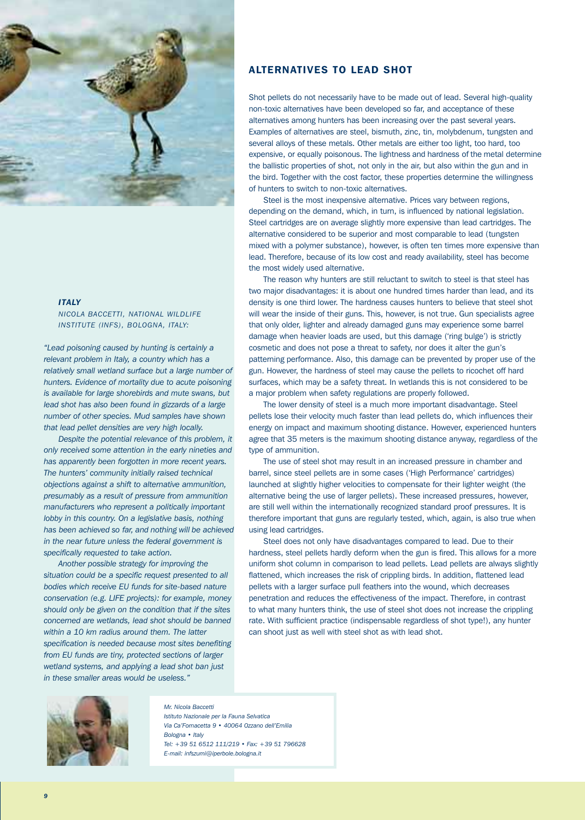

# *ITALY*

*NICOLA BACCETTI, NATIONAL WILDLIFE INSTITUTE (INFS), BOLOGNA, ITALY:*

*"Lead poisoning caused by hunting is certainly a relevant problem in Italy, a country which has a relatively small wetland surface but a large number of hunters. Evidence of mortality due to acute poisoning is available for large shorebirds and mute swans, but lead shot has also been found in gizzards of a large number of other species. Mud samples have shown that lead pellet densities are very high locally.* 

*Despite the potential relevance of this problem, it only received some attention in the early nineties and has apparently been forgotten in more recent years. The hunters' community initially raised technical objections against a shift to alternative ammunition, presumably as a result of pressure from ammunition manufacturers who represent a politically important lobby in this country. On a legislative basis, nothing has been achieved so far, and nothing will be achieved in the near future unless the federal government is specifically requested to take action.* 

*Another possible strategy for improving the situation could be a specific request presented to all bodies which receive EU funds for site-based nature conservation (e.g. LIFE projects): for example, money should only be given on the condition that if the sites concerned are wetlands, lead shot should be banned within a 10 km radius around them. The latter specification is needed because most sites benefiting from EU funds are tiny, protected sections of larger wetland systems, and applying a lead shot ban just in these smaller areas would be useless."*

# ALTERNATIVES TO LEAD SHOT

Shot pellets do not necessarily have to be made out of lead. Several high-quality non-toxic alternatives have been developed so far, and acceptance of these alternatives among hunters has been increasing over the past several years. Examples of alternatives are steel, bismuth, zinc, tin, molybdenum, tungsten and several alloys of these metals. Other metals are either too light, too hard, too expensive, or equally poisonous. The lightness and hardness of the metal determine the ballistic properties of shot, not only in the air, but also within the gun and in the bird. Together with the cost factor, these properties determine the willingness of hunters to switch to non-toxic alternatives.

Steel is the most inexpensive alternative. Prices vary between regions, depending on the demand, which, in turn, is influenced by national legislation. Steel cartridges are on average slightly more expensive than lead cartridges. The alternative considered to be superior and most comparable to lead (tungsten mixed with a polymer substance), however, is often ten times more expensive than lead. Therefore, because of its low cost and ready availability, steel has become the most widely used alternative.

The reason why hunters are still reluctant to switch to steel is that steel has two major disadvantages: it is about one hundred times harder than lead, and its density is one third lower. The hardness causes hunters to believe that steel shot will wear the inside of their guns. This, however, is not true. Gun specialists agree that only older, lighter and already damaged guns may experience some barrel damage when heavier loads are used, but this damage ('ring bulge') is strictly cosmetic and does not pose a threat to safety, nor does it alter the gun's patterning performance. Also, this damage can be prevented by proper use of the gun. However, the hardness of steel may cause the pellets to ricochet off hard surfaces, which may be a safety threat. In wetlands this is not considered to be a major problem when safety regulations are properly followed.

The lower density of steel is a much more important disadvantage. Steel pellets lose their velocity much faster than lead pellets do, which influences their energy on impact and maximum shooting distance. However, experienced hunters agree that 35 meters is the maximum shooting distance anyway, regardless of the type of ammunition.

The use of steel shot may result in an increased pressure in chamber and barrel, since steel pellets are in some cases ('High Performance' cartridges) launched at slightly higher velocities to compensate for their lighter weight (the alternative being the use of larger pellets). These increased pressures, however, are still well within the internationally recognized standard proof pressures. It is therefore important that guns are regularly tested, which, again, is also true when using lead cartridges.

Steel does not only have disadvantages compared to lead. Due to their hardness, steel pellets hardly deform when the gun is fired. This allows for a more uniform shot column in comparison to lead pellets. Lead pellets are always slightly flattened, which increases the risk of crippling birds. In addition, flattened lead pellets with a larger surface pull feathers into the wound, which decreases penetration and reduces the effectiveness of the impact. Therefore, in contrast to what many hunters think, the use of steel shot does not increase the crippling rate. With sufficient practice (indispensable regardless of shot type!), any hunter can shoot just as well with steel shot as with lead shot.



### *Mr. Nicola Baccetti*

*Istituto Nazionale per la Fauna Selvatica Via Ca'Fornacetta 9 • 40064 Ozzano dell'Emilia Bologna • Italy Tel: +39 51 6512 111/219 • Fax: +39 51 796628 E-mail: infszumi@iperbole.bologna.it*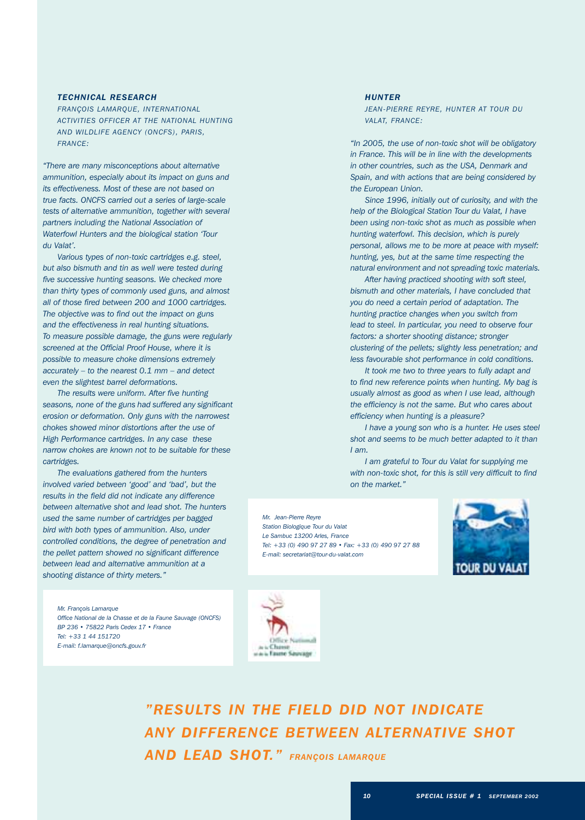# *TECHNICAL RESEARCH*

*FRANÇOIS LAMARQUE, INTERNATIONAL ACTIVITIES OFFICER AT THE NATIONAL HUNTING AND WILDLIFE AGENCY (ONCFS), PARIS, FRANCE:*

*"There are many misconceptions about alternative ammunition, especially about its impact on guns and its effectiveness. Most of these are not based on true facts. ONCFS carried out a series of large-scale tests of alternative ammunition, together with several partners including the National Association of Waterfowl Hunters and the biological station 'Tour du Valat'.*

*Various types of non-toxic cartridges e.g. steel, but also bismuth and tin as well were tested during five successive hunting seasons. We checked more than thirty types of commonly used guns, and almost all of those fired between 200 and 1000 cartridges. The objective was to find out the impact on guns and the effectiveness in real hunting situations. To measure possible damage, the guns were regularly screened at the Official Proof House, where it is possible to measure choke dimensions extremely accurately – to the nearest 0.1 mm – and detect even the slightest barrel deformations.*

*The results were uniform. After five hunting seasons, none of the guns had suffered any significant erosion or deformation. Only guns with the narrowest chokes showed minor distortions after the use of High Performance cartridges. In any case these narrow chokes are known not to be suitable for these cartridges.*

*The evaluations gathered from the hunters involved varied between 'good' and 'bad', but the results in the field did not indicate any difference between alternative shot and lead shot. The hunters used the same number of cartridges per bagged bird with both types of ammunition. Also, under controlled conditions, the degree of penetration and the pellet pattern showed no significant difference between lead and alternative ammunition at a shooting distance of thirty meters."*

*Mr. François Lamarque Office National de la Chasse et de la Faune Sauvage (ONCFS) BP 236 • 75822 Paris Cedex 17 • France Tel: +33 1 44 151720 E-mail: f.lamarque@oncfs.gouv.fr*

# *HUNTER*

*JEAN-PIERRE REYRE, HUNTER AT TOUR DU VALAT, FRANCE:*

*"In 2005, the use of non-toxic shot will be obligatory in France. This will be in line with the developments in other countries, such as the USA, Denmark and Spain, and with actions that are being considered by the European Union.*

*Since 1996, initially out of curiosity, and with the help of the Biological Station Tour du Valat, I have been using non-toxic shot as much as possible when hunting waterfowl. This decision, which is purely personal, allows me to be more at peace with myself: hunting, yes, but at the same time respecting the natural environment and not spreading toxic materials.*

*After having practiced shooting with soft steel, bismuth and other materials, I have concluded that you do need a certain period of adaptation. The hunting practice changes when you switch from lead to steel. In particular, you need to observe four factors: a shorter shooting distance; stronger clustering of the pellets; slightly less penetration; and less favourable shot performance in cold conditions.*

*It took me two to three years to fully adapt and to find new reference points when hunting. My bag is usually almost as good as when I use lead, although the efficiency is not the same. But who cares about efficiency when hunting is a pleasure?*

*I have a young son who is a hunter. He uses steel shot and seems to be much better adapted to it than I am.* 

*I am grateful to Tour du Valat for supplying me with non-toxic shot, for this is still very difficult to find on the market."*

*Mr. Jean-Pierre Reyre Station Biologique Tour du Valat Le Sambuc 13200 Arles, France Tel: +33 (0) 490 97 27 89 • Fax: +33 (0) 490 97 27 88 E-mail: secretariat@tour-du-valat.com*





*"RESULTS IN THE FIELD DID NOT INDICATE ANY DIFFERENCE BETWEEN ALTERNATIVE SHOT AND LEAD SHOT." FRANÇOIS LAMARQUE*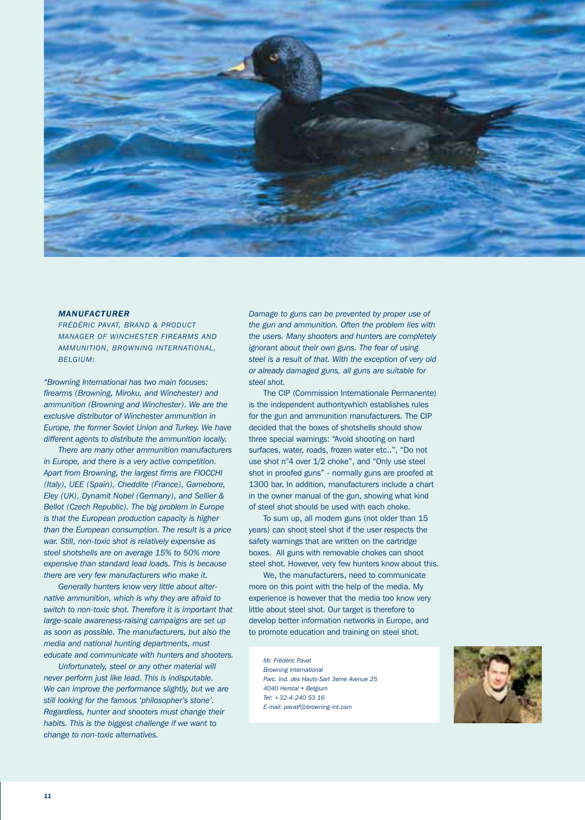

# *MANUFACTURER*

*FRÉDÉRIC PAVAT, BRAND & PRODUCT MANAGER OF WINCHESTER FIREARMS AND AMMUNITION, BROWNING INTERNATIONAL, BELGIUM:*

*"Browning International has two main focuses: firearms (Browning, Miroku, and Winchester) and ammunition (Browning and Winchester). We are the exclusive distributor of Winchester ammunition in Europe, the former Soviet Union and Turkey. We have different agents to distribute the ammunition locally.*

*There are many other ammunition manufacturers in Europe, and there is a very active competition. Apart from Browning, the largest firms are FIOCCHI (Italy), UEE (Spain), Cheddite (France), Gamebore, Eley (UK), Dynamit Nobel (Germany), and Sellier & Bellot (Czech Republic). The big problem in Europe is that the European production capacity is higher than the European consumption. The result is a price war. Still, non-toxic shot is relatively expensive as steel shotshells are on average 15% to 50% more expensive than standard lead loads. This is because there are very few manufacturers who make it.* 

*Generally hunters know very little about alternative ammunition, which is why they are afraid to switch to non-toxic shot. Therefore it is important that large-scale awareness-raising campaigns are set up as soon as possible. The manufacturers, but also the media and national hunting departments, must educate and communicate with hunters and shooters.*

*Unfortunately, steel or any other material will never perform just like lead. This is indisputable. We can improve the performance slightly, but we are still looking for the famous 'philosopher's stone'. Regardless, hunter and shooters must change their habits. This is the biggest challenge if we want to change to non-toxic alternatives.*

*Damage to guns can be prevented by proper use of the gun and ammunition. Often the problem lies with the users. Many shooters and hunters are completely ignorant about their own guns. The fear of using steel is a result of that. With the exception of very old or already damaged guns, all guns are suitable for steel shot.* 

The CIP (Commission Internationale Permanente) is the independent authoritywhich establishes rules for the gun and ammunition manufacturers. The CIP decided that the boxes of shotshells should show three special warnings: "Avoid shooting on hard surfaces, water, roads, frozen water etc..", "Do not use shot n°4 over 1/2 choke", and "Only use steel shot in proofed guns" - normally guns are proofed at 1300 bar. In addition, manufacturers include a chart in the owner manual of the gun, showing what kind of steel shot should be used with each choke.

To sum up, all modern guns (not older than 15 years) can shoot steel shot if the user respects the safety warnings that are written on the cartridge boxes. All guns with removable chokes can shoot steel shot. However, very few hunters know about this.

We, the manufacturers, need to communicate more on this point with the help of the media. My experience is however that the media too know very little about steel shot. Our target is therefore to develop better information networks in Europe, and to promote education and training on steel shot.

*Mr. Frédéric Pavat Browning International Parc. Ind. des Hauts-Sart 3eme Avenue 25 4040 Herstal • Belgium Tel: +32-4-240 53 16 E-mail: pavatf@browning-int.com*

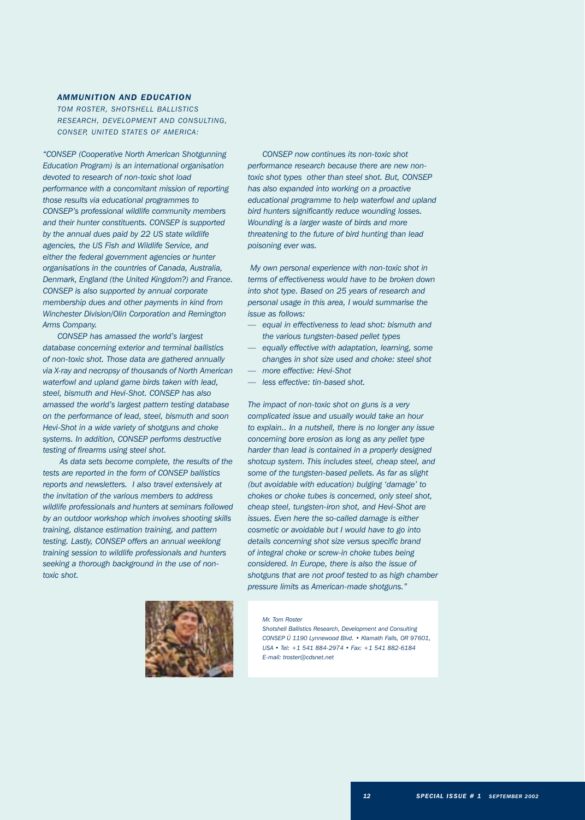# *AMMUNITION AND EDUCATION*

*TOM ROSTER, SHOTSHELL BALLISTICS RESEARCH, DEVELOPMENT AND CONSULTING, CONSEP, UNITED STATES OF AMERICA:*

*"CONSEP (Cooperative North American Shotgunning Education Program) is an international organisation devoted to research of non-toxic shot load performance with a concomitant mission of reporting those results via educational programmes to CONSEP's professional wildlife community members and their hunter constituents. CONSEP is supported by the annual dues paid by 22 US state wildlife agencies, the US Fish and Wildlife Service, and either the federal government agencies or hunter organisations in the countries of Canada, Australia, Denmark, England (the United Kingdom?) and France. CONSEP is also supported by annual corporate membership dues and other payments in kind from Winchester Division/Olin Corporation and Remington Arms Company.* 

*CONSEP has amassed the world's largest database concerning exterior and terminal ballistics of non-toxic shot. Those data are gathered annually via X-ray and necropsy of thousands of North American waterfowl and upland game birds taken with lead, steel, bismuth and Hevi-Shot. CONSEP has also amassed the world's largest pattern testing database on the performance of lead, steel, bismuth and soon Hevi-Shot in a wide variety of shotguns and choke systems. In addition, CONSEP performs destructive testing of firearms using steel shot.*

*As data sets become complete, the results of the tests are reported in the form of CONSEP ballistics reports and newsletters. I also travel extensively at the invitation of the various members to address wildlife professionals and hunters at seminars followed by an outdoor workshop which involves shooting skills training, distance estimation training, and pattern testing. Lastly, CONSEP offers an annual weeklong training session to wildlife professionals and hunters seeking a thorough background in the use of nontoxic shot.*



*CONSEP now continues its non-toxic shot performance research because there are new nontoxic shot types other than steel shot. But, CONSEP has also expanded into working on a proactive educational programme to help waterfowl and upland bird hunters significantly reduce wounding losses. Wounding is a larger waste of birds and more threatening to the future of bird hunting than lead poisoning ever was.*

*My own personal experience with non-toxic shot in terms of effectiveness would have to be broken down into shot type. Based on 25 years of research and personal usage in this area, I would summarise the issue as follows:* 

- *— equal in effectiveness to lead shot: bismuth and the various tungsten-based pellet types*
- equally effective with adaptation, learning, some *changes in shot size used and choke: steel shot*
- *— more effective: Hevi-Shot*
- *— less effective: tin-based shot.*

*The impact of non-toxic shot on guns is a very complicated issue and usually would take an hour to explain.. In a nutshell, there is no longer any issue concerning bore erosion as long as any pellet type harder than lead is contained in a properly designed shotcup system. This includes steel, cheap steel, and some of the tungsten-based pellets. As far as slight (but avoidable with education) bulging 'damage' to chokes or choke tubes is concerned, only steel shot, cheap steel, tungsten-iron shot, and Hevi-Shot are issues. Even here the so-called damage is either cosmetic or avoidable but I would have to go into details concerning shot size versus specific brand of integral choke or screw-in choke tubes being considered. In Europe, there is also the issue of shotguns that are not proof tested to as high chamber pressure limits as American-made shotguns."*

## *Mr. Tom Roster*

*Shotshell Ballistics Research, Development and Consulting CONSEP Ü 1190 Lynnewood Blvd. • Klamath Falls, OR 97601, USA • Tel: +1 541 884-2974 • Fax: +1 541 882-6184 E-mail: troster@cdsnet.net*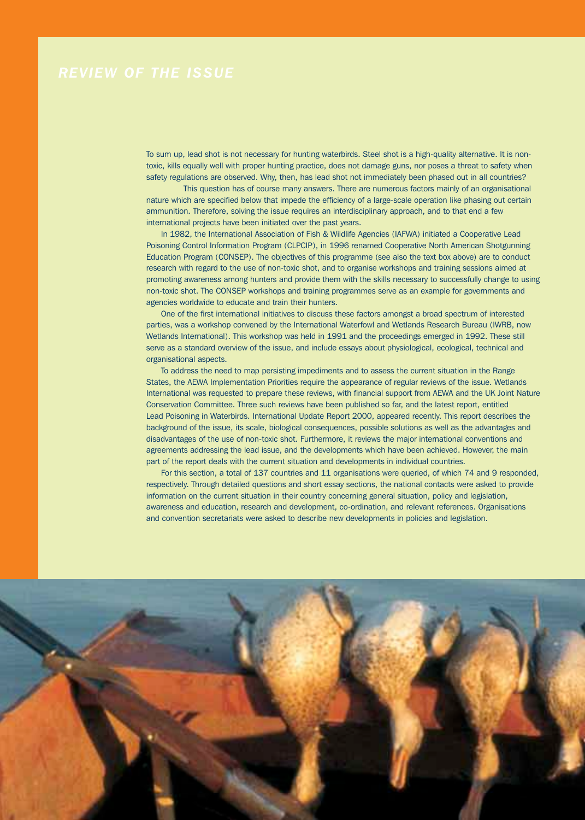To sum up, lead shot is not necessary for hunting waterbirds. Steel shot is a high-quality alternative. It is nontoxic, kills equally well with proper hunting practice, does not damage guns, nor poses a threat to safety when safety regulations are observed. Why, then, has lead shot not immediately been phased out in all countries?

This question has of course many answers. There are numerous factors mainly of an organisational nature which are specified below that impede the efficiency of a large-scale operation like phasing out certain ammunition. Therefore, solving the issue requires an interdisciplinary approach, and to that end a few international projects have been initiated over the past years.

In 1982, the International Association of Fish & Wildlife Agencies (IAFWA) initiated a Cooperative Lead Poisoning Control Information Program (CLPCIP), in 1996 renamed Cooperative North American Shotgunning Education Program (CONSEP). The objectives of this programme (see also the text box above) are to conduct research with regard to the use of non-toxic shot, and to organise workshops and training sessions aimed at promoting awareness among hunters and provide them with the skills necessary to successfully change to using non-toxic shot. The CONSEP workshops and training programmes serve as an example for governments and agencies worldwide to educate and train their hunters.

One of the first international initiatives to discuss these factors amongst a broad spectrum of interested parties, was a workshop convened by the International Waterfowl and Wetlands Research Bureau (IWRB, now Wetlands International). This workshop was held in 1991 and the proceedings emerged in 1992. These still serve as a standard overview of the issue, and include essays about physiological, ecological, technical and organisational aspects.

To address the need to map persisting impediments and to assess the current situation in the Range States, the AEWA Implementation Priorities require the appearance of regular reviews of the issue. Wetlands International was requested to prepare these reviews, with financial support from AEWA and the UK Joint Nature Conservation Committee. Three such reviews have been published so far, and the latest report, entitled Lead Poisoning in Waterbirds. International Update Report 2000, appeared recently. This report describes the background of the issue, its scale, biological consequences, possible solutions as well as the advantages and disadvantages of the use of non-toxic shot. Furthermore, it reviews the major international conventions and agreements addressing the lead issue, and the developments which have been achieved. However, the main part of the report deals with the current situation and developments in individual countries.

For this section, a total of 137 countries and 11 organisations were queried, of which 74 and 9 responded, respectively. Through detailed questions and short essay sections, the national contacts were asked to provide information on the current situation in their country concerning general situation, policy and legislation, awareness and education, research and development, co-ordination, and relevant references. Organisations and convention secretariats were asked to describe new developments in policies and legislation.

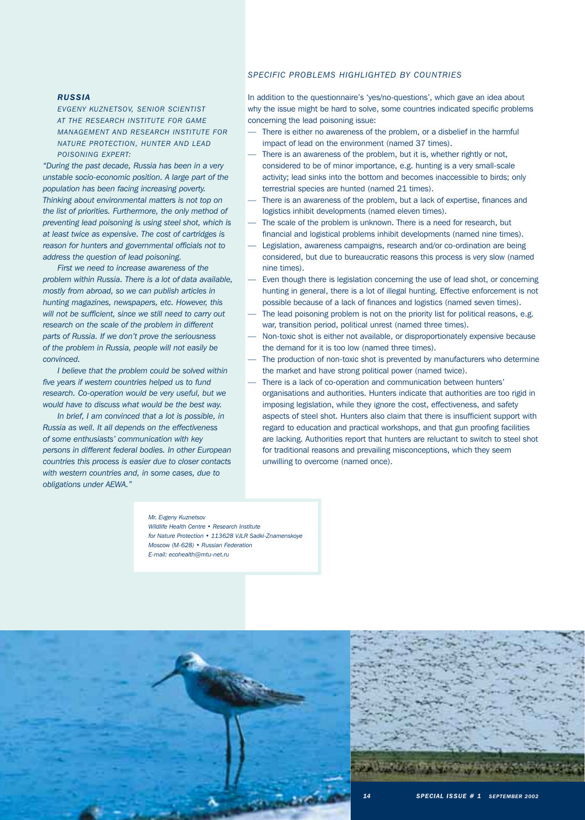# *SPECIFIC PROBLEMS HIGHLIGHTED BY COUNTRIES*

# *RUSSIA*

*EVGENY KUZNETSOV, SENIOR SCIENTIST AT THE RESEARCH INSTITUTE FOR GAME MANAGEMENT AND RESEARCH INSTITUTE FOR NATURE PROTECTION, HUNTER AND LEAD POISONING EXPERT:*

*"During the past decade, Russia has been in a very unstable socio-economic position. A large part of the population has been facing increasing poverty. Thinking about environmental matters is not top on the list of priorities. Furthermore, the only method of preventing lead poisoning is using steel shot, which is at least twice as expensive. The cost of cartridges is reason for hunters and governmental officials not to address the question of lead poisoning.*

*First we need to increase awareness of the problem within Russia. There is a lot of data available, mostly from abroad, so we can publish articles in hunting magazines, newspapers, etc. However, this will not be sufficient, since we still need to carry out research on the scale of the problem in different parts of Russia. If we don't prove the seriousness of the problem in Russia, people will not easily be convinced.*

*I believe that the problem could be solved within five years if western countries helped us to fund research. Co-operation would be very useful, but we would have to discuss what would be the best way.* 

*In brief, I am convinced that a lot is possible, in Russia as well. It all depends on the effectiveness of some enthusiasts' communication with key persons in different federal bodies. In other European countries this process is easier due to closer contacts with western countries and, in some cases, due to obligations under AEWA."*

In addition to the questionnaire's 'yes/no-questions', which gave an idea about why the issue might be hard to solve, some countries indicated specific problems concerning the lead poisoning issue:

- There is either no awareness of the problem, or a disbelief in the harmful impact of lead on the environment (named 37 times).
- There is an awareness of the problem, but it is, whether rightly or not, considered to be of minor importance, e.g. hunting is a very small-scale activity; lead sinks into the bottom and becomes inaccessible to birds; only terrestrial species are hunted (named 21 times).
- There is an awareness of the problem, but a lack of expertise, finances and logistics inhibit developments (named eleven times).
- The scale of the problem is unknown. There is a need for research, but financial and logistical problems inhibit developments (named nine times).
- Legislation, awareness campaigns, research and/or co-ordination are being considered, but due to bureaucratic reasons this process is very slow (named nine times).
- Even though there is legislation concerning the use of lead shot, or concerning hunting in general, there is a lot of illegal hunting. Effective enforcement is not possible because of a lack of finances and logistics (named seven times).
- The lead poisoning problem is not on the priority list for political reasons, e.g. war, transition period, political unrest (named three times).
- Non-toxic shot is either not available, or disproportionately expensive because the demand for it is too low (named three times).
- The production of non-toxic shot is prevented by manufacturers who determine the market and have strong political power (named twice).
- There is a lack of co-operation and communication between hunters' organisations and authorities. Hunters indicate that authorities are too rigid in imposing legislation, while they ignore the cost, effectiveness, and safety aspects of steel shot. Hunters also claim that there is insufficient support with regard to education and practical workshops, and that gun proofing facilities are lacking. Authorities report that hunters are reluctant to switch to steel shot for traditional reasons and prevailing misconceptions, which they seem unwilling to overcome (named once).

# *Mr. Evgeny Kuznetsov*

*Wildlife Health Centre • Research Institute for Nature Protection • 113628 VJLR Sadki-Znamenskoye Moscow (M-628) • Russian Federation E-mail: ecohealth@mtu-net.ru*



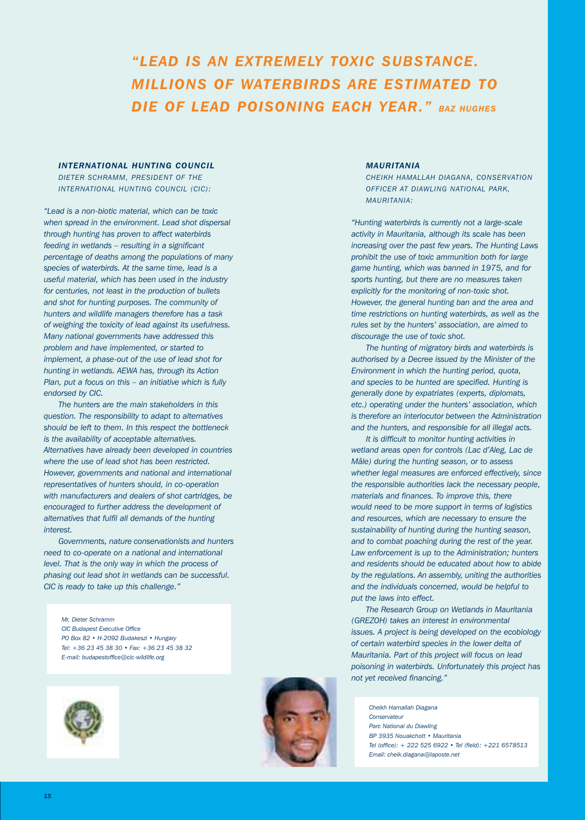# *"LEAD IS AN EXTREMELY TOXIC SUBSTANCE. MILLIONS OF WATERBIRDS ARE ESTIMATED TO DIE OF LEAD POISONING EACH YEAR." BAZ HUGHES*

# *INTERNATIONAL HUNTING COUNCIL*

*DIETER SCHRAMM, PRESIDENT OF THE INTERNATIONAL HUNTING COUNCIL (CIC):*

*"Lead is a non-biotic material, which can be toxic when spread in the environment. Lead shot dispersal through hunting has proven to affect waterbirds feeding in wetlands – resulting in a significant percentage of deaths among the populations of many species of waterbirds. At the same time, lead is a useful material, which has been used in the industry for centuries, not least in the production of bullets and shot for hunting purposes. The community of hunters and wildlife managers therefore has a task of weighing the toxicity of lead against its usefulness. Many national governments have addressed this problem and have implemented, or started to implement, a phase-out of the use of lead shot for hunting in wetlands. AEWA has, through its Action Plan, put a focus on this – an initiative which is fully endorsed by CIC.*

*The hunters are the main stakeholders in this question. The responsibility to adapt to alternatives should be left to them. In this respect the bottleneck is the availability of acceptable alternatives. Alternatives have already been developed in countries where the use of lead shot has been restricted. However, governments and national and international representatives of hunters should, in co-operation with manufacturers and dealers of shot cartridges, be encouraged to further address the development of alternatives that fulfil all demands of the hunting interest.*

*Governments, nature conservationists and hunters need to co-operate on a national and international level. That is the only way in which the process of phasing out lead shot in wetlands can be successful. CIC is ready to take up this challenge."*

*Mr. Dieter Schramm CIC Budapest Executive Office PO Box 82 • H-2092 Budakeszi • Hungary Tel: +36 23 45 38 30 • Fax: +36 23 45 38 32 E-mail: budapestoffice@cic-wildlife.org* 



# *MAURITANIA*

*CHEIKH HAMALLAH DIAGANA, CONSERVATION OFFICER AT DIAWLING NATIONAL PARK, MAURITANIA:*

*"Hunting waterbirds is currently not a large-scale activity in Mauritania, although its scale has been increasing over the past few years. The Hunting Laws prohibit the use of toxic ammunition both for large game hunting, which was banned in 1975, and for sports hunting, but there are no measures taken explicitly for the monitoring of non-toxic shot. However, the general hunting ban and the area and time restrictions on hunting waterbirds, as well as the rules set by the hunters' association, are aimed to discourage the use of toxic shot.*

*The hunting of migratory birds and waterbirds is authorised by a Decree issued by the Minister of the Environment in which the hunting period, quota, and species to be hunted are specified. Hunting is generally done by expatriates (experts, diplomats, etc.) operating under the hunters' association, which is therefore an interlocutor between the Administration and the hunters, and responsible for all illegal acts.*

*It is difficult to monitor hunting activities in wetland areas open for controls (Lac d'Aleg, Lac de Mâle) during the hunting season, or to assess whether legal measures are enforced effectively, since the responsible authorities lack the necessary people, materials and finances. To improve this, there would need to be more support in terms of logistics and resources, which are necessary to ensure the sustainability of hunting during the hunting season, and to combat poaching during the rest of the year. Law enforcement is up to the Administration; hunters and residents should be educated about how to abide by the regulations. An assembly, uniting the authorities and the individuals concerned, would be helpful to put the laws into effect.*

*The Research Group on Wetlands in Mauritania (GREZOH) takes an interest in environmental issues. A project is being developed on the ecobiology of certain waterbird species in the lower delta of Mauritania. Part of this project will focus on lead poisoning in waterbirds. Unfortunately this project has not yet received financing."*

*Cheikh Hamallah Diagana Conservateur Parc National du Diawling BP 3935 Nouakchott • Mauritania Tel (office): + 222 525 6922 • Tel (field): +221 6578513 Email: cheik.diagana@laposte.net*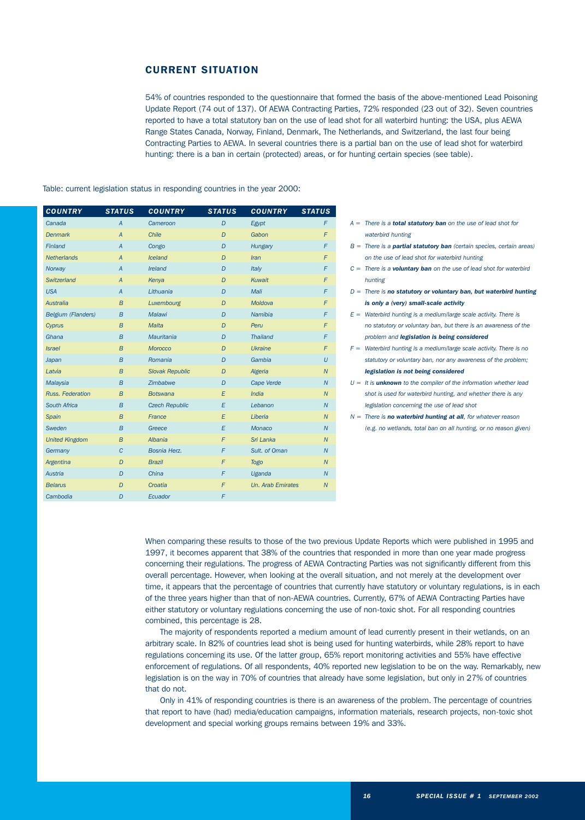# CURRENT SITUATION

54% of countries responded to the questionnaire that formed the basis of the above-mentioned Lead Poisoning Update Report (74 out of 137). Of AEWA Contracting Parties, 72% responded (23 out of 32). Seven countries reported to have a total statutory ban on the use of lead shot for all waterbird hunting: the USA, plus AEWA Range States Canada, Norway, Finland, Denmark, The Netherlands, and Switzerland, the last four being Contracting Parties to AEWA. In several countries there is a partial ban on the use of lead shot for waterbird hunting: there is a ban in certain (protected) areas, or for hunting certain species (see table).

# Table: current legislation status in responding countries in the year 2000:

| <b>COUNTRY</b>        | <b>STATUS</b>    | <b>COUNTRY</b>         | <b>STATUS</b>  | <b>COUNTRY</b>           | <b>STATUS</b>    |
|-----------------------|------------------|------------------------|----------------|--------------------------|------------------|
| Canada                | $\overline{A}$   | Cameroon               | D              | Egypt                    | F                |
| <b>Denmark</b>        | $\overline{A}$   | Chile                  | D              | Gabon                    | F                |
| Finland               | $\overline{A}$   | Congo                  | D              | Hungary                  | F                |
| <b>Netherlands</b>    | $\overline{A}$   | <b>Iceland</b>         | D              | <b>Iran</b>              | F                |
| Norway                | $\overline{A}$   | Ireland                | D              | Italy                    | F                |
| Switzerland           | $\overline{A}$   | Kenya                  | D              | Kuwait                   | F                |
| <b>USA</b>            | $\overline{A}$   | Lithuania              | D              | Mali                     | F                |
| Australia             | $\overline{B}$   | Luxembourg             | $\overline{D}$ | Moldova                  | F                |
| Belgium (Flanders)    | $\boldsymbol{B}$ | <b>Malawi</b>          | D              | Namibia                  | F                |
| Cyprus                | $\overline{B}$   | <b>Malta</b>           | $\overline{D}$ | Peru                     | F                |
| Ghana                 | $\overline{B}$   | Mauritania             | D              | <b>Thailand</b>          | F                |
| <i><b>Israel</b></i>  | $\overline{B}$   | Morocco                | D              | <b>Ukraine</b>           | F                |
| Japan                 | $\overline{B}$   | Romania                | $\overline{D}$ | Gambia                   | U                |
| Latvia                | $\overline{B}$   | <b>Slovak Republic</b> | D              | Algeria                  | $\overline{N}$   |
| Malaysia              | $\overline{B}$   | Zimbabwe               | D              | Cape Verde               | $\overline{N}$   |
| Russ. Federation      | $\overline{B}$   | <b>Botswana</b>        | E              | <b>India</b>             | ${\cal N}$       |
| South Africa          | $\overline{B}$   | <b>Czech Republic</b>  | E              | Lebanon                  | $\overline{N}$   |
| Spain                 | $\overline{B}$   | France                 | E              | Liberia                  | $\overline{N}$   |
| Sweden                | $\boldsymbol{B}$ | Greece                 | E              | Monaco                   | $\overline{N}$   |
| <b>United Kingdom</b> | $\overline{B}$   | Albania                | F              | Sri Lanka                | $\overline{N}$   |
| Germany               | $\mathcal{C}$    | Bosnia Herz.           | F              | Sult. of Oman            | $\overline{N}$   |
| Argentina             | $\overline{D}$   | <b>Brazil</b>          | $\overline{F}$ | <b>Togo</b>              | ${\cal N}$       |
| Austria               | $\overline{D}$   | China                  | F              | Uganda                   | $\overline{N}$   |
| <b>Belarus</b>        | D                | Croatia                | F              | <b>Un. Arab Emirates</b> | $\boldsymbol{N}$ |
| Cambodia              | D                | Ecuador                | F              |                          |                  |
|                       |                  |                        |                |                          |                  |

- *A = There is a total statutory ban on the use of lead shot for waterbird hunting*
- *B = There is a partial statutory ban (certain species, certain areas) on the use of lead shot for waterbird hunting*
- *C = There is a voluntary ban on the use of lead shot for waterbird hunting*
- *D = There is no statutory or voluntary ban, but waterbird hunting is only a (very) small-scale activity*
- *E = Waterbird hunting is a medium/large scale activity. There is no statutory or voluntary ban, but there is an awareness of the problem and legislation is being considered*
- *F = Waterbird hunting is a medium/large scale activity. There is no statutory or voluntary ban, nor any awareness of the problem; legislation is not being considered*
- *U = It is unknown to the compiler of the information whether lead shot is used for waterbird hunting, and whether there is any legislation concerning the use of lead shot*
- *N = There is no waterbird hunting at all, for whatever reason (e.g. no wetlands, total ban on all hunting, or no reason given)*

When comparing these results to those of the two previous Update Reports which were published in 1995 and 1997, it becomes apparent that 38% of the countries that responded in more than one year made progress concerning their regulations. The progress of AEWA Contracting Parties was not significantly different from this overall percentage. However, when looking at the overall situation, and not merely at the development over time, it appears that the percentage of countries that currently have statutory or voluntary regulations, is in each of the three years higher than that of non-AEWA countries. Currently, 67% of AEWA Contracting Parties have either statutory or voluntary regulations concerning the use of non-toxic shot. For all responding countries combined, this percentage is 28.

The majority of respondents reported a medium amount of lead currently present in their wetlands, on an arbitrary scale. In 82% of countries lead shot is being used for hunting waterbirds, while 28% report to have regulations concerning its use. Of the latter group, 65% report monitoring activities and 55% have effective enforcement of regulations. Of all respondents, 40% reported new legislation to be on the way. Remarkably, new legislation is on the way in 70% of countries that already have some legislation, but only in 27% of countries that do not.

Only in 41% of responding countries is there is an awareness of the problem. The percentage of countries that report to have (had) media/education campaigns, information materials, research projects, non-toxic shot development and special working groups remains between 19% and 33%.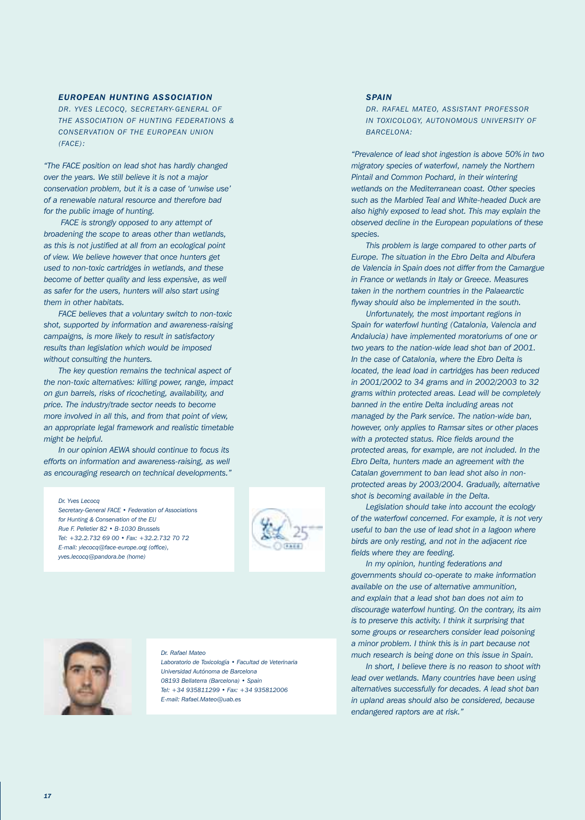# *EUROPEAN HUNTING ASSOCIATION*

*DR. YVES LECOCQ, SECRETARY-GENERAL OF THE ASSOCIATION OF HUNTING FEDERATIONS & CONSERVATION OF THE EUROPEAN UNION (FACE):* 

*"The FACE position on lead shot has hardly changed over the years. We still believe it is not a major conservation problem, but it is a case of 'unwise use' of a renewable natural resource and therefore bad for the public image of hunting.*

*FACE is strongly opposed to any attempt of broadening the scope to areas other than wetlands, as this is not justified at all from an ecological point of view. We believe however that once hunters get used to non-toxic cartridges in wetlands, and these become of better quality and less expensive, as well as safer for the users, hunters will also start using them in other habitats.*

*FACE believes that a voluntary switch to non-toxic shot, supported by information and awareness-raising campaigns, is more likely to result in satisfactory results than legislation which would be imposed without consulting the hunters.*

*The key question remains the technical aspect of the non-toxic alternatives: killing power, range, impact on gun barrels, risks of ricocheting, availability, and price. The industry/trade sector needs to become more involved in all this, and from that point of view, an appropriate legal framework and realistic timetable might be helpful.*

*In our opinion AEWA should continue to focus its efforts on information and awareness-raising, as well as encouraging research on technical developments."*

*Dr. Yves Lecocq* 

*Secretary-General FACE • Federation of Associations for Hunting & Conservation of the EU Rue F. Pelletier 82 • B-1030 Brussels Tel: +32.2.732 69 00 • Fax: +32.2.732 70 72 E-mail: ylecocq@face-europe.org (office), yves.lecocq@pandora.be (home)*





### *Dr. Rafael Mateo*

*Laboratorio de Toxicología • Facultad de Veterinaria Universidad Autónoma de Barcelona 08193 Bellaterra (Barcelona) • Spain Tel: +34 935811299 • Fax: +34 935812006 E-mail: Rafael.Mateo@uab.es*

# *SPAIN*

*DR. RAFAEL MATEO, ASSISTANT PROFESSOR IN TOXICOLOGY, AUTONOMOUS UNIVERSITY OF BARCELONA:*

*"Prevalence of lead shot ingestion is above 50% in two migratory species of waterfowl, namely the Northern Pintail and Common Pochard, in their wintering wetlands on the Mediterranean coast. Other species such as the Marbled Teal and White-headed Duck are also highly exposed to lead shot. This may explain the observed decline in the European populations of these species.*

*This problem is large compared to other parts of Europe. The situation in the Ebro Delta and Albufera de Valencia in Spain does not differ from the Camargue in France or wetlands in Italy or Greece. Measures taken in the northern countries in the Palaearctic flyway should also be implemented in the south.*

*Unfortunately, the most important regions in Spain for waterfowl hunting (Catalonia, Valencia and Andalucia) have implemented moratoriums of one or two years to the nation-wide lead shot ban of 2001. In the case of Catalonia, where the Ebro Delta is located, the lead load in cartridges has been reduced in 2001/2002 to 34 grams and in 2002/2003 to 32 grams within protected areas. Lead will be completely banned in the entire Delta including areas not managed by the Park service. The nation-wide ban, however, only applies to Ramsar sites or other places with a protected status. Rice fields around the protected areas, for example, are not included. In the Ebro Delta, hunters made an agreement with the Catalan government to ban lead shot also in nonprotected areas by 2003/2004. Gradually, alternative shot is becoming available in the Delta.*

*Legislation should take into account the ecology of the waterfowl concerned. For example, it is not very useful to ban the use of lead shot in a lagoon where birds are only resting, and not in the adjacent rice fields where they are feeding.*

*In my opinion, hunting federations and governments should co-operate to make information available on the use of alternative ammunition, and explain that a lead shot ban does not aim to discourage waterfowl hunting. On the contrary, its aim is to preserve this activity. I think it surprising that some groups or researchers consider lead poisoning a minor problem. I think this is in part because not much research is being done on this issue in Spain.*

*In short, I believe there is no reason to shoot with lead over wetlands. Many countries have been using alternatives successfully for decades. A lead shot ban in upland areas should also be considered, because endangered raptors are at risk."*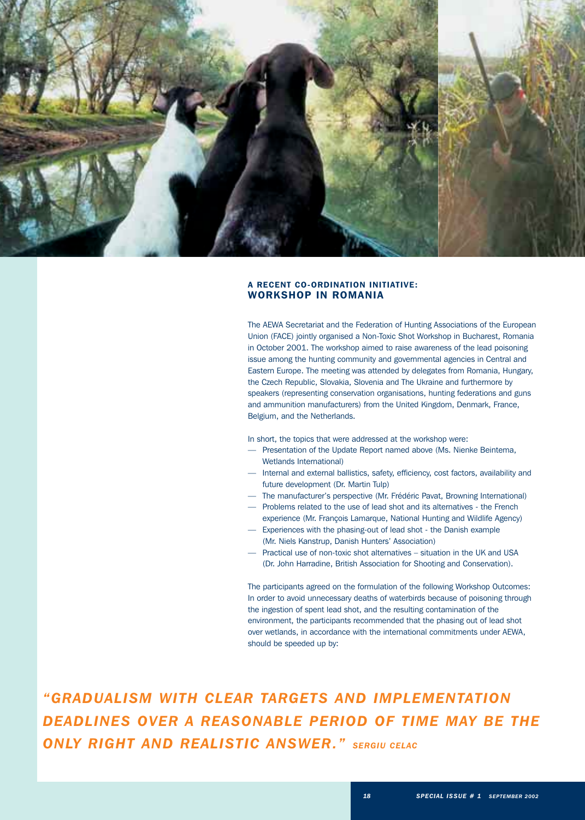

# A RECENT CO-ORDINATION INITIATIVE: WORKSHOP IN ROMANIA

The AEWA Secretariat and the Federation of Hunting Associations of the European Union (FACE) jointly organised a Non-Toxic Shot Workshop in Bucharest, Romania in October 2001. The workshop aimed to raise awareness of the lead poisoning issue among the hunting community and governmental agencies in Central and Eastern Europe. The meeting was attended by delegates from Romania, Hungary, the Czech Republic, Slovakia, Slovenia and The Ukraine and furthermore by speakers (representing conservation organisations, hunting federations and guns and ammunition manufacturers) from the United Kingdom, Denmark, France, Belgium, and the Netherlands.

In short, the topics that were addressed at the workshop were:

- Presentation of the Update Report named above (Ms. Nienke Beintema, Wetlands International)
- Internal and external ballistics, safety, efficiency, cost factors, availability and future development (Dr. Martin Tulp)
- The manufacturer's perspective (Mr. Frédéric Pavat, Browning International)
- Problems related to the use of lead shot and its alternatives the French
- experience (Mr. François Lamarque, National Hunting and Wildlife Agency) — Experiences with the phasing-out of lead shot - the Danish example
- (Mr. Niels Kanstrup, Danish Hunters' Association) — Practical use of non-toxic shot alternatives – situation in the UK and USA
	- (Dr. John Harradine, British Association for Shooting and Conservation).

The participants agreed on the formulation of the following Workshop Outcomes: In order to avoid unnecessary deaths of waterbirds because of poisoning through the ingestion of spent lead shot, and the resulting contamination of the environment, the participants recommended that the phasing out of lead shot over wetlands, in accordance with the international commitments under AEWA, should be speeded up by:

*"GRADUALISM WITH CLEAR TARGETS AND IMPLEMENTATION DEADLINES OVER A REASONABLE PERIOD OF TIME MAY BE THE ONLY RIGHT AND REALISTIC ANSWER." SERGIU CELAC*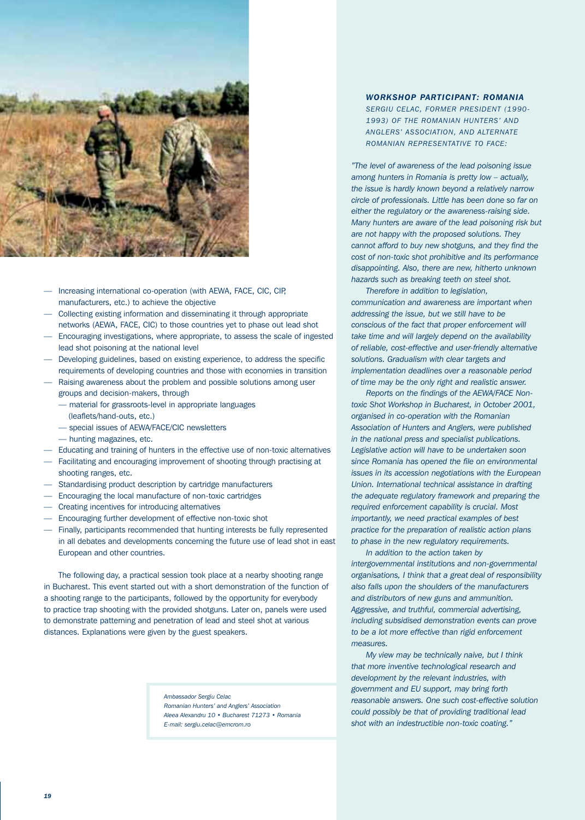

- Increasing international co-operation (with AEWA, FACE, CIC, CIP, manufacturers, etc.) to achieve the objective
- Collecting existing information and disseminating it through appropriate networks (AEWA, FACE, CIC) to those countries yet to phase out lead shot
- Encouraging investigations, where appropriate, to assess the scale of ingested lead shot poisoning at the national level
- Developing guidelines, based on existing experience, to address the specific requirements of developing countries and those with economies in transition
- Raising awareness about the problem and possible solutions among user groups and decision-makers, through
	- material for grassroots-level in appropriate languages
		- (leaflets/hand-outs, etc.)
	- special issues of AEWA/FACE/CIC newsletters
	- hunting magazines, etc.
- Educating and training of hunters in the effective use of non-toxic alternatives
- Facilitating and encouraging improvement of shooting through practising at shooting ranges, etc.
- Standardising product description by cartridge manufacturers
- Encouraging the local manufacture of non-toxic cartridges
- Creating incentives for introducing alternatives
- Encouraging further development of effective non-toxic shot
- Finally, participants recommended that hunting interests be fully represented in all debates and developments concerning the future use of lead shot in east European and other countries.

The following day, a practical session took place at a nearby shooting range in Bucharest. This event started out with a short demonstration of the function of a shooting range to the participants, followed by the opportunity for everybody to practice trap shooting with the provided shotguns. Later on, panels were used to demonstrate patterning and penetration of lead and steel shot at various distances. Explanations were given by the guest speakers.

> *Ambassador Sergiu Celac Romanian Hunters' and Anglers' Association Aleea Alexandru 10 • Bucharest 71273 • Romania E-mail: sergiu.celac@emcrom.ro*

# *WORKSHOP PARTICIPANT: ROMANIA*

*SERGIU CELAC, FORMER PRESIDENT (1990- 1993) OF THE ROMANIAN HUNTERS' AND ANGLERS' ASSOCIATION, AND ALTERNATE ROMANIAN REPRESENTATIVE TO FACE:*

*"The level of awareness of the lead poisoning issue among hunters in Romania is pretty low – actually, the issue is hardly known beyond a relatively narrow circle of professionals. Little has been done so far on either the regulatory or the awareness-raising side. Many hunters are aware of the lead poisoning risk but are not happy with the proposed solutions. They cannot afford to buy new shotguns, and they find the cost of non-toxic shot prohibitive and its performance disappointing. Also, there are new, hitherto unknown hazards such as breaking teeth on steel shot.*

*Therefore in addition to legislation, communication and awareness are important when addressing the issue, but we still have to be conscious of the fact that proper enforcement will take time and will largely depend on the availability of reliable, cost-effective and user-friendly alternative solutions. Gradualism with clear targets and implementation deadlines over a reasonable period of time may be the only right and realistic answer.*

*Reports on the findings of the AEWA/FACE Nontoxic Shot Workshop in Bucharest, in October 2001, organised in co-operation with the Romanian Association of Hunters and Anglers, were published in the national press and specialist publications. Legislative action will have to be undertaken soon since Romania has opened the file on environmental issues in its accession negotiations with the European Union. International technical assistance in drafting the adequate regulatory framework and preparing the required enforcement capability is crucial. Most importantly, we need practical examples of best practice for the preparation of realistic action plans to phase in the new regulatory requirements.*

*In addition to the action taken by intergovernmental institutions and non-governmental organisations, I think that a great deal of responsibility also falls upon the shoulders of the manufacturers and distributors of new guns and ammunition. Aggressive, and truthful, commercial advertising, including subsidised demonstration events can prove to be a lot more effective than rigid enforcement measures.*

*My view may be technically naive, but I think that more inventive technological research and development by the relevant industries, with government and EU support, may bring forth reasonable answers. One such cost-effective solution could possibly be that of providing traditional lead shot with an indestructible non-toxic coating."*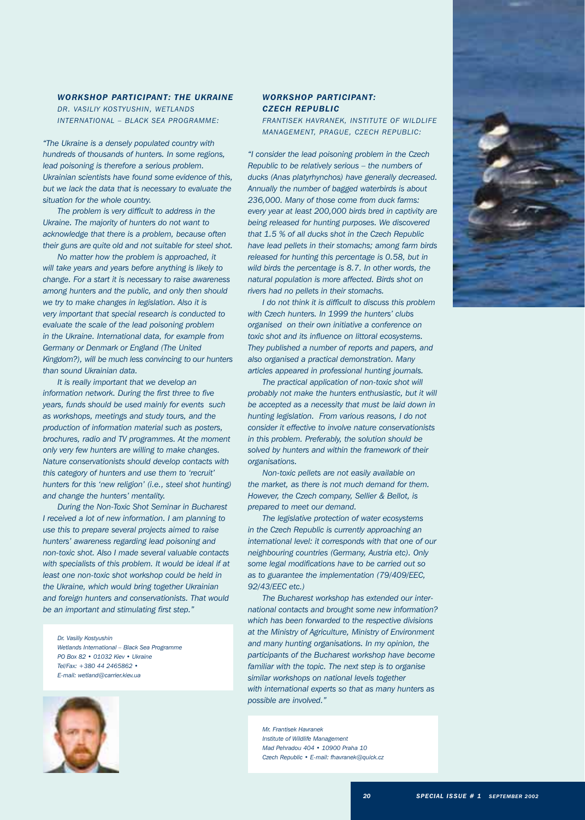*WORKSHOP PARTICIPANT: THE UKRAINE DR. VASILIY KOSTYUSHIN, WETLANDS INTERNATIONAL – BLACK SEA PROGRAMME:*

*"The Ukraine is a densely populated country with hundreds of thousands of hunters. In some regions, lead poisoning is therefore a serious problem. Ukrainian scientists have found some evidence of this, but we lack the data that is necessary to evaluate the situation for the whole country.*

*The problem is very difficult to address in the Ukraine. The majority of hunters do not want to acknowledge that there is a problem, because often their guns are quite old and not suitable for steel shot.*

*No matter how the problem is approached, it will take years and years before anything is likely to change. For a start it is necessary to raise awareness among hunters and the public, and only then should we try to make changes in legislation. Also it is very important that special research is conducted to evaluate the scale of the lead poisoning problem in the Ukraine. International data, for example from Germany or Denmark or England (The United Kingdom?), will be much less convincing to our hunters than sound Ukrainian data.*

*It is really important that we develop an information network. During the first three to five years, funds should be used mainly for events such as workshops, meetings and study tours, and the production of information material such as posters, brochures, radio and TV programmes. At the moment only very few hunters are willing to make changes. Nature conservationists should develop contacts with this category of hunters and use them to 'recruit' hunters for this 'new religion' (i.e., steel shot hunting) and change the hunters' mentality.*

*During the Non-Toxic Shot Seminar in Bucharest I received a lot of new information. I am planning to use this to prepare several projects aimed to raise hunters' awareness regarding lead poisoning and non-toxic shot. Also I made several valuable contacts with specialists of this problem. It would be ideal if at least one non-toxic shot workshop could be held in the Ukraine, which would bring together Ukrainian and foreign hunters and conservationists. That would be an important and stimulating first step."*

*Dr. Vasiliy Kostyushin Wetlands International – Black Sea Programme PO Box 82 • 01032 Kiev • Ukraine Tel/Fax: +380 44 2465862 • E-mail: wetland@carrier.kiev.ua*



# *WORKSHOP PARTICIPANT: CZECH REPUBLIC*

*FRANTISEK HAVRANEK, INSTITUTE OF WILDLIFE MANAGEMENT, PRAGUE, CZECH REPUBLIC:*

*"I consider the lead poisoning problem in the Czech Republic to be relatively serious – the numbers of ducks (Anas platyrhynchos) have generally decreased. Annually the number of bagged waterbirds is about 236,000. Many of those come from duck farms: every year at least 200,000 birds bred in captivity are being released for hunting purposes. We discovered that 1.5 % of all ducks shot in the Czech Republic have lead pellets in their stomachs; among farm birds released for hunting this percentage is 0.58, but in wild birds the percentage is 8.7. In other words, the natural population is more affected. Birds shot on rivers had no pellets in their stomachs.*

*I do not think it is difficult to discuss this problem with Czech hunters. In 1999 the hunters' clubs organised on their own initiative a conference on toxic shot and its influence on littoral ecosystems. They published a number of reports and papers, and also organised a practical demonstration. Many articles appeared in professional hunting journals.*

*The practical application of non-toxic shot will probably not make the hunters enthusiastic, but it will be accepted as a necessity that must be laid down in hunting legislation. From various reasons, I do not consider it effective to involve nature conservationists in this problem. Preferably, the solution should be solved by hunters and within the framework of their organisations.*

*Non-toxic pellets are not easily available on the market, as there is not much demand for them. However, the Czech company, Sellier & Bellot, is prepared to meet our demand.*

*The legislative protection of water ecosystems in the Czech Republic is currently approaching an international level: it corresponds with that one of our neighbouring countries (Germany, Austria etc). Only some legal modifications have to be carried out so as to guarantee the implementation (79/409/EEC, 92/43/EEC etc.)*

*The Bucharest workshop has extended our international contacts and brought some new information? which has been forwarded to the respective divisions at the Ministry of Agriculture, Ministry of Environment and many hunting organisations. In my opinion, the participants of the Bucharest workshop have become familiar with the topic. The next step is to organise similar workshops on national levels together with international experts so that as many hunters as possible are involved."*

*Mr. Frantisek Havranek Institute of Wildlife Management Mad Pehradou 404 • 10900 Praha 10 Czech Republic • E-mail: fhavranek@quick.cz*

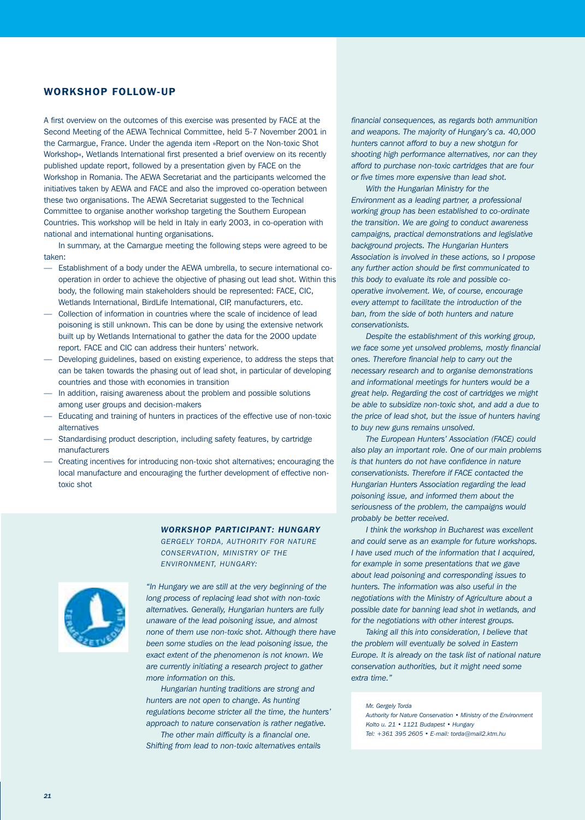# WORKSHOP FOLLOW-UP

A first overview on the outcomes of this exercise was presented by FACE at the Second Meeting of the AEWA Technical Committee, held 5-7 November 2001 in the Carmargue, France. Under the agenda item »Report on the Non-toxic Shot Workshop«, Wetlands International first presented a brief overview on its recently published update report, followed by a presentation given by FACE on the Workshop in Romania. The AEWA Secretariat and the participants welcomed the initiatives taken by AEWA and FACE and also the improved co-operation between these two organisations. The AEWA Secretariat suggested to the Technical Committee to organise another workshop targeting the Southern European Countries. This workshop will be held in Italy in early 2003, in co-operation with national and international hunting organisations.

In summary, at the Camargue meeting the following steps were agreed to be taken:

- Establishment of a body under the AEWA umbrella, to secure international cooperation in order to achieve the objective of phasing out lead shot. Within this body, the following main stakeholders should be represented: FACE, CIC, Wetlands International, BirdLife International, CIP, manufacturers, etc.
- Collection of information in countries where the scale of incidence of lead poisoning is still unknown. This can be done by using the extensive network built up by Wetlands International to gather the data for the 2000 update report. FACE and CIC can address their hunters' network.
- Developing guidelines, based on existing experience, to address the steps that can be taken towards the phasing out of lead shot, in particular of developing countries and those with economies in transition
- In addition, raising awareness about the problem and possible solutions among user groups and decision-makers
- Educating and training of hunters in practices of the effective use of non-toxic alternatives
- Standardising product description, including safety features, by cartridge manufacturers
- Creating incentives for introducing non-toxic shot alternatives; encouraging the local manufacture and encouraging the further development of effective nontoxic shot

# *WORKSHOP PARTICIPANT: HUNGARY*

*GERGELY TORDA, AUTHORITY FOR NATURE CONSERVATION, MINISTRY OF THE ENVIRONMENT, HUNGARY:*



*"In Hungary we are still at the very beginning of the long process of replacing lead shot with non-toxic alternatives. Generally, Hungarian hunters are fully unaware of the lead poisoning issue, and almost none of them use non-toxic shot. Although there have been some studies on the lead poisoning issue, the exact extent of the phenomenon is not known. We are currently initiating a research project to gather more information on this.*

*Hungarian hunting traditions are strong and hunters are not open to change. As hunting regulations become stricter all the time, the hunters' approach to nature conservation is rather negative.*

*The other main difficulty is a financial one. Shifting from lead to non-toxic alternatives entails* *financial consequences, as regards both ammunition and weapons. The majority of Hungary's ca. 40,000 hunters cannot afford to buy a new shotgun for shooting high performance alternatives, nor can they afford to purchase non-toxic cartridges that are four or five times more expensive than lead shot.*

*With the Hungarian Ministry for the Environment as a leading partner, a professional working group has been established to co-ordinate the transition. We are going to conduct awareness campaigns, practical demonstrations and legislative background projects. The Hungarian Hunters Association is involved in these actions, so I propose any further action should be first communicated to this body to evaluate its role and possible cooperative involvement. We, of course, encourage every attempt to facilitate the introduction of the ban, from the side of both hunters and nature conservationists.*

*Despite the establishment of this working group, we face some yet unsolved problems, mostly financial ones. Therefore financial help to carry out the necessary research and to organise demonstrations and informational meetings for hunters would be a great help. Regarding the cost of cartridges we might be able to subsidize non-toxic shot, and add a due to the price of lead shot, but the issue of hunters having to buy new guns remains unsolved.*

*The European Hunters' Association (FACE) could also play an important role. One of our main problems is that hunters do not have confidence in nature conservationists. Therefore if FACE contacted the Hungarian Hunters Association regarding the lead poisoning issue, and informed them about the seriousness of the problem, the campaigns would probably be better received.*

*I think the workshop in Bucharest was excellent and could serve as an example for future workshops. I have used much of the information that I acquired, for example in some presentations that we gave about lead poisoning and corresponding issues to hunters. The information was also useful in the negotiations with the Ministry of Agriculture about a possible date for banning lead shot in wetlands, and for the negotiations with other interest groups.*

*Taking all this into consideration, I believe that the problem will eventually be solved in Eastern Europe. It is already on the task list of national nature conservation authorities, but it might need some extra time."*

*Mr. Gergely Torda*

*Authority for Nature Conservation • Ministry of the Environment Kolto u. 21 • 1121 Budapest • Hungary Tel: +361 395 2605 • E-mail: torda@mail2.ktm.hu*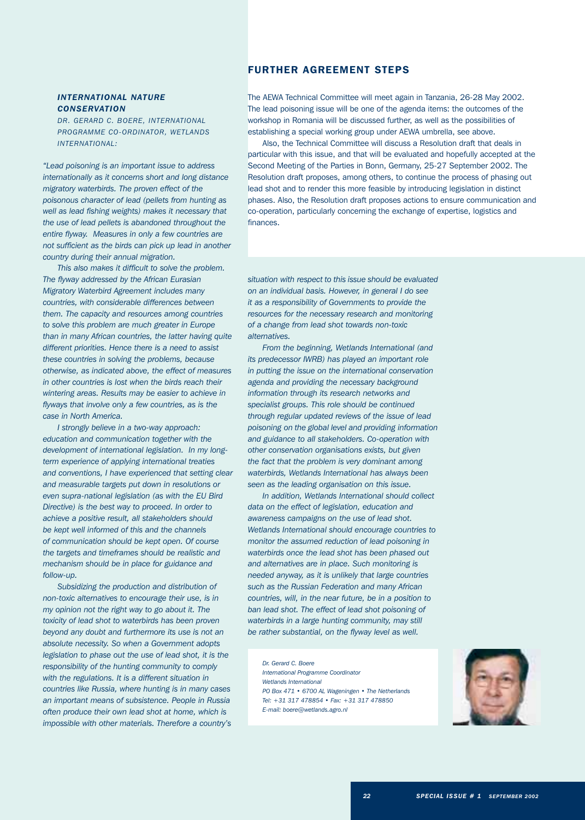# *INTERNATIONAL NATURE CONSERVATION*

*DR. GERARD C. BOERE, INTERNATIONAL PROGRAMME CO-ORDINATOR, WETLANDS INTERNATIONAL:*

*"Lead poisoning is an important issue to address internationally as it concerns short and long distance migratory waterbirds. The proven effect of the poisonous character of lead (pellets from hunting as well as lead fishing weights) makes it necessary that the use of lead pellets is abandoned throughout the entire flyway. Measures in only a few countries are not sufficient as the birds can pick up lead in another country during their annual migration.*

*This also makes it difficult to solve the problem. The flyway addressed by the African Eurasian Migratory Waterbird Agreement includes many countries, with considerable differences between them. The capacity and resources among countries to solve this problem are much greater in Europe than in many African countries, the latter having quite different priorities. Hence there is a need to assist these countries in solving the problems, because otherwise, as indicated above, the effect of measures in other countries is lost when the birds reach their wintering areas. Results may be easier to achieve in flyways that involve only a few countries, as is the case in North America.*

*I strongly believe in a two-way approach: education and communication together with the development of international legislation. In my longterm experience of applying international treaties and conventions, I have experienced that setting clear and measurable targets put down in resolutions or even supra-national legislation (as with the EU Bird Directive) is the best way to proceed. In order to achieve a positive result, all stakeholders should be kept well informed of this and the channels of communication should be kept open. Of course the targets and timeframes should be realistic and mechanism should be in place for guidance and follow-up.*

*Subsidizing the production and distribution of non-toxic alternatives to encourage their use, is in my opinion not the right way to go about it. The toxicity of lead shot to waterbirds has been proven beyond any doubt and furthermore its use is not an absolute necessity. So when a Government adopts legislation to phase out the use of lead shot, it is the responsibility of the hunting community to comply with the regulations. It is a different situation in countries like Russia, where hunting is in many cases an important means of subsistence. People in Russia often produce their own lead shot at home, which is impossible with other materials. Therefore a country's*

# FURTHER AGREEMENT STEPS

The AEWA Technical Committee will meet again in Tanzania, 26-28 May 2002. The lead poisoning issue will be one of the agenda items: the outcomes of the workshop in Romania will be discussed further, as well as the possibilities of establishing a special working group under AEWA umbrella, see above.

Also, the Technical Committee will discuss a Resolution draft that deals in particular with this issue, and that will be evaluated and hopefully accepted at the Second Meeting of the Parties in Bonn, Germany, 25-27 September 2002. The Resolution draft proposes, among others, to continue the process of phasing out lead shot and to render this more feasible by introducing legislation in distinct phases. Also, the Resolution draft proposes actions to ensure communication and co-operation, particularly concerning the exchange of expertise, logistics and finances.

*situation with respect to this issue should be evaluated on an individual basis. However, in general I do see it as a responsibility of Governments to provide the resources for the necessary research and monitoring of a change from lead shot towards non-toxic alternatives.*

*From the beginning, Wetlands International (and its predecessor IWRB) has played an important role in putting the issue on the international conservation agenda and providing the necessary background information through its research networks and specialist groups. This role should be continued through regular updated reviews of the issue of lead poisoning on the global level and providing information and guidance to all stakeholders. Co-operation with other conservation organisations exists, but given the fact that the problem is very dominant among waterbirds, Wetlands International has always been seen as the leading organisation on this issue.*

*In addition, Wetlands International should collect data on the effect of legislation, education and awareness campaigns on the use of lead shot. Wetlands International should encourage countries to monitor the assumed reduction of lead poisoning in waterbirds once the lead shot has been phased out and alternatives are in place. Such monitoring is needed anyway, as it is unlikely that large countries such as the Russian Federation and many African countries, will, in the near future, be in a position to ban lead shot. The effect of lead shot poisoning of waterbirds in a large hunting community, may still be rather substantial, on the flyway level as well.*

*Dr. Gerard C. Boere International Programme Coordinator Wetlands International PO Box 471 • 6700 AL Wageningen • The Netherlands Tel: +31 317 478854 • Fax: +31 317 478850 E-mail: boere@wetlands.agro.nl*

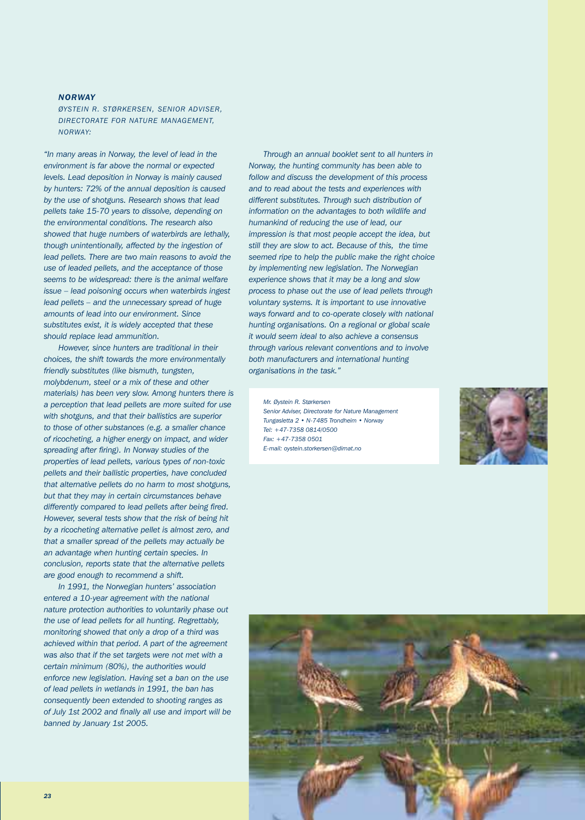# *NORWAY*

*ØYSTEIN R. STØRKERSEN, SENIOR ADVISER, DIRECTORATE FOR NATURE MANAGEMENT, NORWAY:*

*"In many areas in Norway, the level of lead in the environment is far above the normal or expected levels. Lead deposition in Norway is mainly caused by hunters: 72% of the annual deposition is caused by the use of shotguns. Research shows that lead pellets take 15-70 years to dissolve, depending on the environmental conditions. The research also showed that huge numbers of waterbirds are lethally, though unintentionally, affected by the ingestion of lead pellets. There are two main reasons to avoid the use of leaded pellets, and the acceptance of those seems to be widespread: there is the animal welfare issue – lead poisoning occurs when waterbirds ingest lead pellets – and the unnecessary spread of huge amounts of lead into our environment. Since substitutes exist, it is widely accepted that these should replace lead ammunition.*

*However, since hunters are traditional in their choices, the shift towards the more environmentally friendly substitutes (like bismuth, tungsten, molybdenum, steel or a mix of these and other materials) has been very slow. Among hunters there is a perception that lead pellets are more suited for use with shotguns, and that their ballistics are superior to those of other substances (e.g. a smaller chance of ricocheting, a higher energy on impact, and wider spreading after firing). In Norway studies of the properties of lead pellets, various types of non-toxic pellets and their ballistic properties, have concluded that alternative pellets do no harm to most shotguns, but that they may in certain circumstances behave differently compared to lead pellets after being fired. However, several tests show that the risk of being hit by a ricocheting alternative pellet is almost zero, and that a smaller spread of the pellets may actually be an advantage when hunting certain species. In conclusion, reports state that the alternative pellets are good enough to recommend a shift.* 

*In 1991, the Norwegian hunters' association entered a 10-year agreement with the national nature protection authorities to voluntarily phase out the use of lead pellets for all hunting. Regrettably, monitoring showed that only a drop of a third was achieved within that period. A part of the agreement was also that if the set targets were not met with a certain minimum (80%), the authorities would enforce new legislation. Having set a ban on the use of lead pellets in wetlands in 1991, the ban has consequently been extended to shooting ranges as of July 1st 2002 and finally all use and import will be banned by January 1st 2005.* 

*Through an annual booklet sent to all hunters in Norway, the hunting community has been able to follow and discuss the development of this process and to read about the tests and experiences with different substitutes. Through such distribution of information on the advantages to both wildlife and humankind of reducing the use of lead, our impression is that most people accept the idea, but still they are slow to act. Because of this, the time seemed ripe to help the public make the right choice by implementing new legislation. The Norwegian experience shows that it may be a long and slow process to phase out the use of lead pellets through voluntary systems. It is important to use innovative ways forward and to co-operate closely with national hunting organisations. On a regional or global scale it would seem ideal to also achieve a consensus through various relevant conventions and to involve both manufacturers and international hunting organisations in the task."*

*Mr. Øystein R. Størkersen Senior Adviser, Directorate for Nature Management Tungasletta 2 • N-7485 Trondheim • Norway Tel: +47-7358 0814/0500 Fax: +47-7358 0501 E-mail: oystein.storkersen@dirnat.no* 



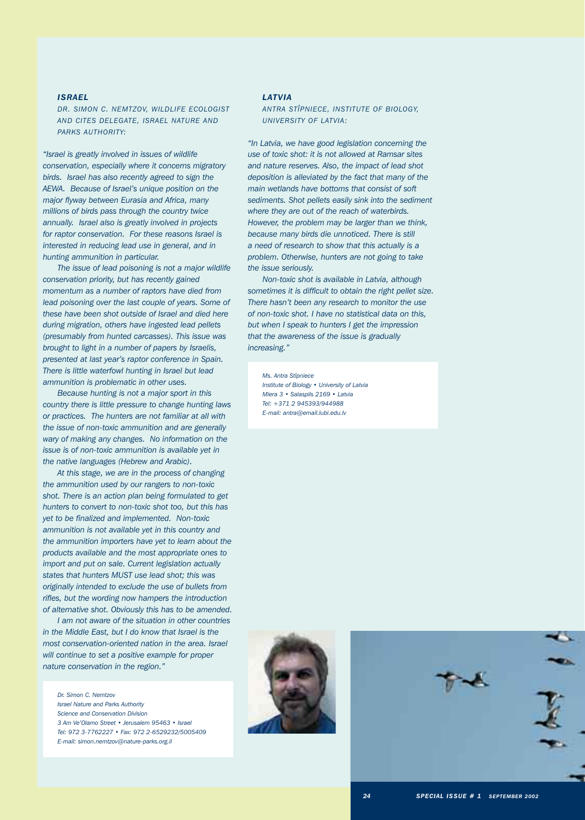# *ISRAEL*

*DR. SIMON C. NEMTZOV, WILDLIFE ECOLOGIST AND CITES DELEGATE, ISRAEL NATURE AND PARKS AUTHORITY:*

*"Israel is greatly involved in issues of wildlife conservation, especially where it concerns migratory birds. Israel has also recently agreed to sign the AEWA. Because of Israel's unique position on the major flyway between Eurasia and Africa, many millions of birds pass through the country twice annually. Israel also is greatly involved in projects for raptor conservation. For these reasons Israel is interested in reducing lead use in general, and in hunting ammunition in particular.*

*The issue of lead poisoning is not a major wildlife conservation priority, but has recently gained momentum as a number of raptors have died from lead poisoning over the last couple of years. Some of these have been shot outside of Israel and died here during migration, others have ingested lead pellets (presumably from hunted carcasses). This issue was brought to light in a number of papers by Israelis, presented at last year's raptor conference in Spain. There is little waterfowl hunting in Israel but lead ammunition is problematic in other uses.*

*Because hunting is not a major sport in this country there is little pressure to change hunting laws or practices. The hunters are not familiar at all with the issue of non-toxic ammunition and are generally wary of making any changes. No information on the issue is of non-toxic ammunition is available yet in the native languages (Hebrew and Arabic).*

*At this stage, we are in the process of changing the ammunition used by our rangers to non-toxic shot. There is an action plan being formulated to get hunters to convert to non-toxic shot too, but this has yet to be finalized and implemented. Non-toxic ammunition is not available yet in this country and the ammunition importers have yet to learn about the products available and the most appropriate ones to import and put on sale. Current legislation actually states that hunters MUST use lead shot; this was originally intended to exclude the use of bullets from rifles, but the wording now hampers the introduction of alternative shot. Obviously this has to be amended.*

*I am not aware of the situation in other countries in the Middle East, but I do know that Israel is the most conservation-oriented nation in the area. Israel will continue to set a positive example for proper nature conservation in the region."*

*Dr. Simon C. Nemtzov Israel Nature and Parks Authority Science and Conservation Division 3 Am Ve'Olamo Street • Jerusalem 95463 • Israel Tel: 972 3-7762227 • Fax: 972 2-6529232/5005409 E-mail: simon.nemtzov@nature-parks.org.il*

# *LATVIA*

*ANTRA STÎPNIECE, INSTITUTE OF BIOLOGY, UNIVERSITY OF LATVIA:*

*"In Latvia, we have good legislation concerning the use of toxic shot: it is not allowed at Ramsar sites and nature reserves. Also, the impact of lead shot deposition is alleviated by the fact that many of the main wetlands have bottoms that consist of soft sediments. Shot pellets easily sink into the sediment where they are out of the reach of waterbirds. However, the problem may be larger than we think, because many birds die unnoticed. There is still a need of research to show that this actually is a problem. Otherwise, hunters are not going to take the issue seriously.* 

*Non-toxic shot is available in Latvia, although sometimes it is difficult to obtain the right pellet size. There hasn't been any research to monitor the use of non-toxic shot. I have no statistical data on this, but when I speak to hunters I get the impression that the awareness of the issue is gradually increasing."*

*Ms. Antra Stîpniece Institute of Biology • University of Latvia Miera 3 • Salaspils 2169 • Latvia Tel: +371 2 945393/944988 E-mail: antra@email.lubi.edu.lv*



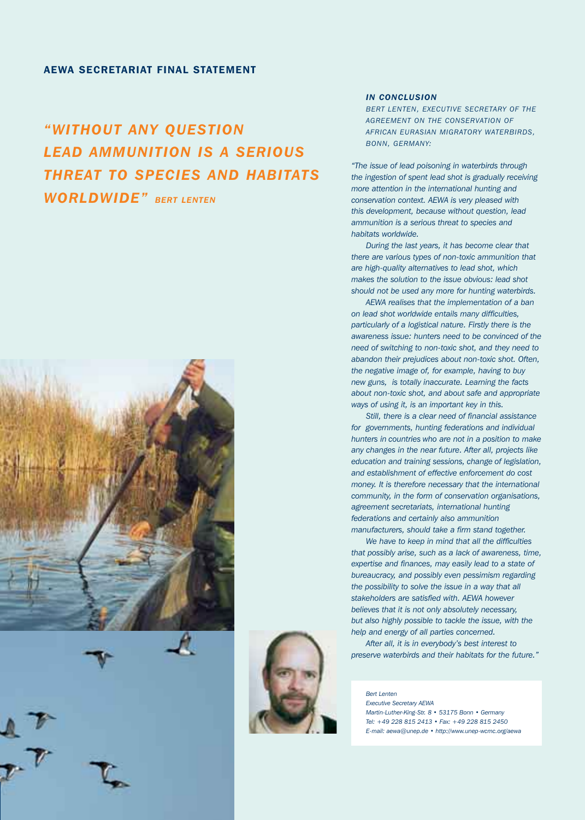# AEWA SECRETARIAT FINAL STATEMENT

# *"WITHOUT ANY QUESTION LEAD AMMUNITION IS A SERIOUS THREAT TO SPECIES AND HABITATS WORLDWIDE" BERT LENTEN*







# *IN CONCLUSION*

*BERT LENTEN, EXECUTIVE SECRETARY OF THE AGREEMENT ON THE CONSERVATION OF AFRICAN EURASIAN MIGRATORY WATERBIRDS, BONN, GERMANY:*

*"The issue of lead poisoning in waterbirds through the ingestion of spent lead shot is gradually receiving more attention in the international hunting and conservation context. AEWA is very pleased with this development, because without question, lead ammunition is a serious threat to species and habitats worldwide.* 

*During the last years, it has become clear that there are various types of non-toxic ammunition that are high-quality alternatives to lead shot, which makes the solution to the issue obvious: lead shot should not be used any more for hunting waterbirds.*

*AEWA realises that the implementation of a ban on lead shot worldwide entails many difficulties, particularly of a logistical nature. Firstly there is the awareness issue: hunters need to be convinced of the need of switching to non-toxic shot, and they need to abandon their prejudices about non-toxic shot. Often, the negative image of, for example, having to buy new guns, is totally inaccurate. Learning the facts about non-toxic shot, and about safe and appropriate ways of using it, is an important key in this.* 

*Still, there is a clear need of financial assistance for governments, hunting federations and individual hunters in countries who are not in a position to make any changes in the near future. After all, projects like education and training sessions, change of legislation, and establishment of effective enforcement do cost money. It is therefore necessary that the international community, in the form of conservation organisations, agreement secretariats, international hunting federations and certainly also ammunition manufacturers, should take a firm stand together.* 

*We have to keep in mind that all the difficulties that possibly arise, such as a lack of awareness, time, expertise and finances, may easily lead to a state of bureaucracy, and possibly even pessimism regarding the possibility to solve the issue in a way that all stakeholders are satisfied with. AEWA however believes that it is not only absolutely necessary, but also highly possible to tackle the issue, with the help and energy of all parties concerned.* 

*After all, it is in everybody's best interest to preserve waterbirds and their habitats for the future."*

*Bert Lenten Executive Secretary AEWA Martin-Luther-King-Str. 8 • 53175 Bonn • Germany Tel: +49 228 815 2413 • Fax: +49 228 815 2450 E-mail: aewa@unep.de • http://www.unep-wcmc.org/aewa*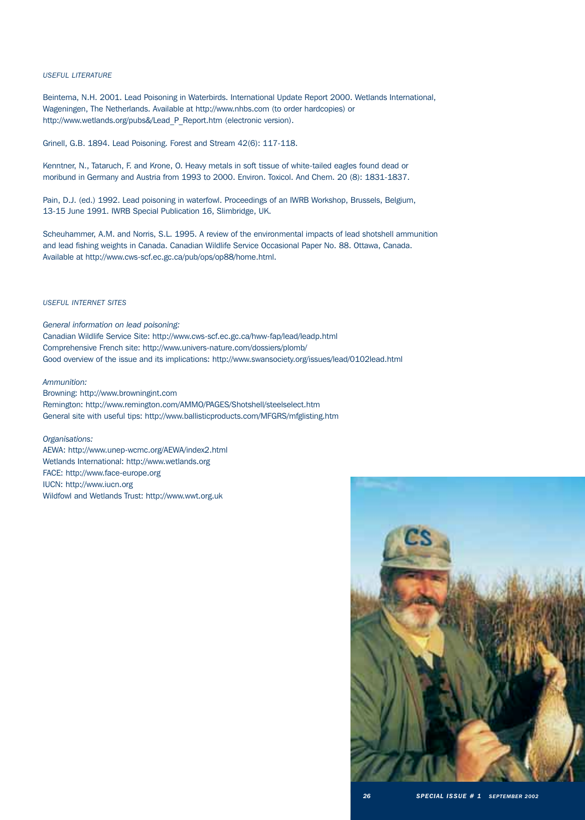# *USEFUL LITERATURE*

Beintema, N.H. 2001. Lead Poisoning in Waterbirds. International Update Report 2000. Wetlands International, Wageningen, The Netherlands. Available at http://www.nhbs.com (to order hardcopies) or http://www.wetlands.org/pubs&/Lead\_P\_Report.htm (electronic version).

Grinell, G.B. 1894. Lead Poisoning. Forest and Stream 42(6): 117-118.

Kenntner, N., Tataruch, F. and Krone, O. Heavy metals in soft tissue of white-tailed eagles found dead or moribund in Germany and Austria from 1993 to 2000. Environ. Toxicol. And Chem. 20 (8): 1831-1837.

Pain, D.J. (ed.) 1992. Lead poisoning in waterfowl. Proceedings of an IWRB Workshop, Brussels, Belgium, 13-15 June 1991. IWRB Special Publication 16, Slimbridge, UK.

Scheuhammer, A.M. and Norris, S.L. 1995. A review of the environmental impacts of lead shotshell ammunition and lead fishing weights in Canada. Canadian Wildlife Service Occasional Paper No. 88. Ottawa, Canada. Available at http://www.cws-scf.ec.gc.ca/pub/ops/op88/home.html.

# *USEFUL INTERNET SITES*

*General information on lead poisoning:* Canadian Wildlife Service Site: http://www.cws-scf.ec.gc.ca/hww-fap/lead/leadp.html Comprehensive French site: http://www.univers-nature.com/dossiers/plomb/ Good overview of the issue and its implications: http://www.swansociety.org/issues/lead/0102lead.html

# *Ammunition:*

Browning: http://www.browningint.com Remington: http://www.remington.com/AMMO/PAGES/Shotshell/steelselect.htm General site with useful tips: http://www.ballisticproducts.com/MFGRS/mfglisting.htm

# *Organisations:*

AEWA: http://www.unep-wcmc.org/AEWA/index2.html Wetlands International: http://www.wetlands.org FACE: http://www.face-europe.org IUCN: http://www.iucn.org Wildfowl and Wetlands Trust: http://www.wwt.org.uk

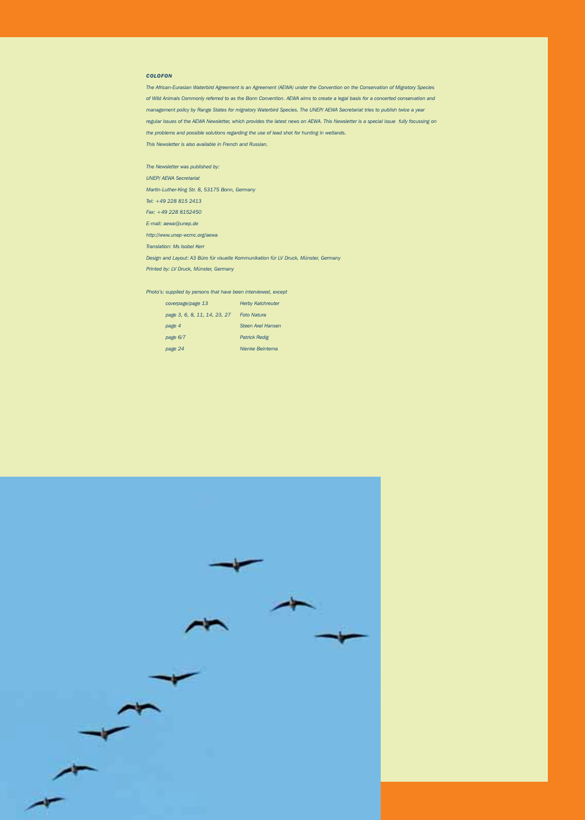# *COLOFON*

*The African-Eurasian Waterbird Agreement is an Agreement (AEWA) under the Convention on the Conservation of Migratory Species of Wild Animals Commonly referred to as the Bonn Convention. AEWA aims to create a legal basis for a concerted conservation and management policy by Range States for migratory Waterbird Species. The UNEP/ AEWA Secretariat tries to publish twice a year regular issues of the AEWA Newsletter, which provides the latest news on AEWA. This Newsletter is a special issue fully focussing on the problems and possible solutions regarding the use of lead shot for hunting in wetlands. This Newsletter is also available in French and Russian.*

*The Newsletter was published by: UNEP/ AEWA Secretariat Martin-Luther-King Str. 8, 53175 Bonn, Germany Tel: +49 228 815 2413 Fax: +49 228 8152450 E-mail: aewa@unep.de http://www.unep-wcmc.org/aewa Translation: Ms Isobel Kerr Design and Layout: A3 Büro für visuelle Kommunikation für LV Druck, Münster, Germany Printed by: LV Druck, Münster, Germany*

*Photo's: supplied by persons that have been interviewed, except*

| coverpage/page 13            | <b>Herby Kalchreuter</b> |  |  |
|------------------------------|--------------------------|--|--|
| page 3, 6, 8, 11, 14, 23, 27 | <b>Foto Natura</b>       |  |  |
| page 4                       | Steen Axel Hansen        |  |  |
| page 6/7                     | <b>Patrick Redig</b>     |  |  |
| page 24                      | <b>Nienke Beintema</b>   |  |  |